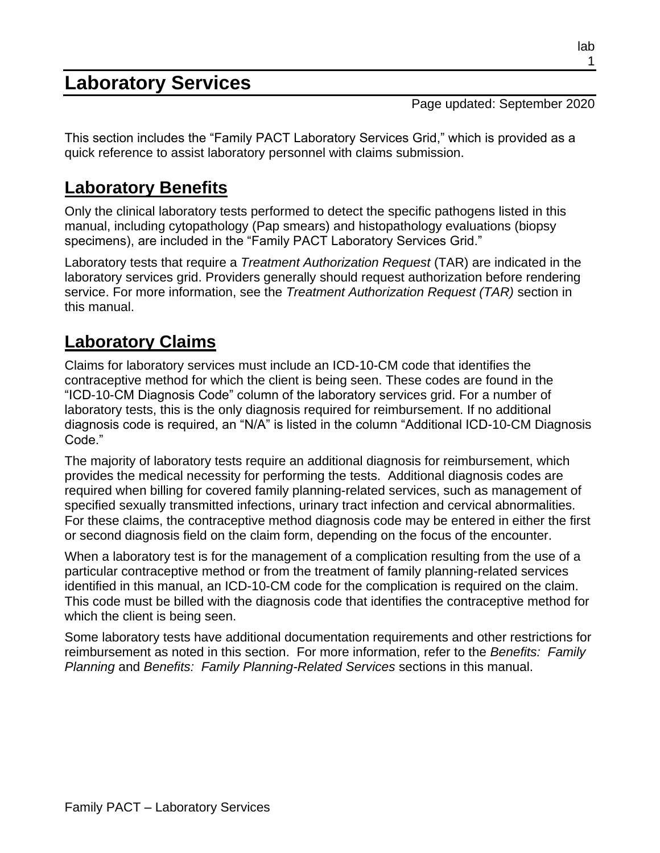# **Laboratory Services**

#### Page updated: September 2020

This section includes the "Family PACT Laboratory Services Grid," which is provided as a quick reference to assist laboratory personnel with claims submission.

## **Laboratory Benefits**

Only the clinical laboratory tests performed to detect the specific pathogens listed in this manual, including cytopathology (Pap smears) and histopathology evaluations (biopsy specimens), are included in the "Family PACT Laboratory Services Grid."

Laboratory tests that require a *Treatment Authorization Request* (TAR) are indicated in the laboratory services grid. Providers generally should request authorization before rendering service. For more information, see the *Treatment Authorization Request (TAR)* section in this manual.

## **Laboratory Claims**

Claims for laboratory services must include an ICD-10-CM code that identifies the contraceptive method for which the client is being seen. These codes are found in the "ICD-10-CM Diagnosis Code" column of the laboratory services grid. For a number of laboratory tests, this is the only diagnosis required for reimbursement. If no additional diagnosis code is required, an "N/A" is listed in the column "Additional ICD-10-CM Diagnosis Code."

The majority of laboratory tests require an additional diagnosis for reimbursement, which provides the medical necessity for performing the tests. Additional diagnosis codes are required when billing for covered family planning-related services, such as management of specified sexually transmitted infections, urinary tract infection and cervical abnormalities. For these claims, the contraceptive method diagnosis code may be entered in either the first or second diagnosis field on the claim form, depending on the focus of the encounter.

When a laboratory test is for the management of a complication resulting from the use of a particular contraceptive method or from the treatment of family planning-related services identified in this manual, an ICD-10-CM code for the complication is required on the claim. This code must be billed with the diagnosis code that identifies the contraceptive method for which the client is being seen.

Some laboratory tests have additional documentation requirements and other restrictions for reimbursement as noted in this section. For more information, refer to the *Benefits: Family Planning* and *Benefits: Family Planning-Related Services* sections in this manual.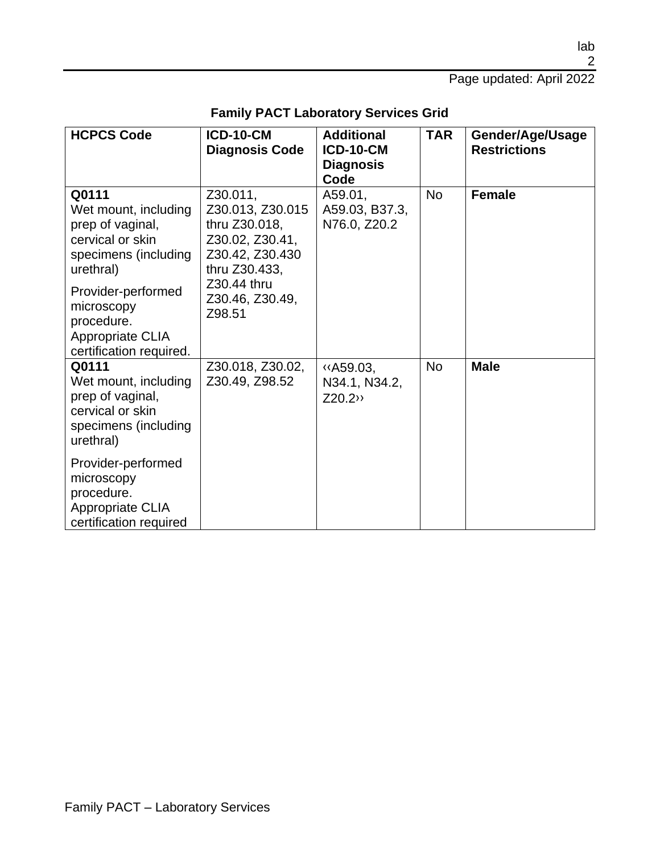lab  $\overline{2}$ 

Page updated: April 2022

| <b>Family PACT Laboratory Services Grid</b> |  |  |  |
|---------------------------------------------|--|--|--|
|---------------------------------------------|--|--|--|

| <b>HCPCS Code</b>                                                                                          | <b>ICD-10-CM</b><br><b>Diagnosis Code</b>                                                            | <b>Additional</b><br><b>ICD-10-CM</b><br><b>Diagnosis</b><br>Code       | <b>TAR</b> | Gender/Age/Usage<br><b>Restrictions</b> |
|------------------------------------------------------------------------------------------------------------|------------------------------------------------------------------------------------------------------|-------------------------------------------------------------------------|------------|-----------------------------------------|
| Q0111<br>Wet mount, including<br>prep of vaginal,<br>cervical or skin<br>specimens (including<br>urethral) | Z30.011,<br>Z30.013, Z30.015<br>thru Z30.018,<br>Z30.02, Z30.41,<br>Z30.42, Z30.430<br>thru Z30.433, | A59.01,<br>A59.03, B37.3,<br>N76.0, Z20.2                               | <b>No</b>  | <b>Female</b>                           |
| Provider-performed<br>microscopy<br>procedure.<br><b>Appropriate CLIA</b><br>certification required.       | Z30.44 thru<br>Z30.46, Z30.49,<br>Z98.51                                                             |                                                                         |            |                                         |
| Q0111<br>Wet mount, including<br>prep of vaginal,<br>cervical or skin<br>specimens (including<br>urethral) | Z30.018, Z30.02,<br>Z30.49, Z98.52                                                                   | $\langle 459.03, 400.03 \rangle$<br>N34.1, N34.2,<br>Z20.2 <sub>2</sub> | <b>No</b>  | <b>Male</b>                             |
| Provider-performed<br>microscopy<br>procedure.<br><b>Appropriate CLIA</b><br>certification required        |                                                                                                      |                                                                         |            |                                         |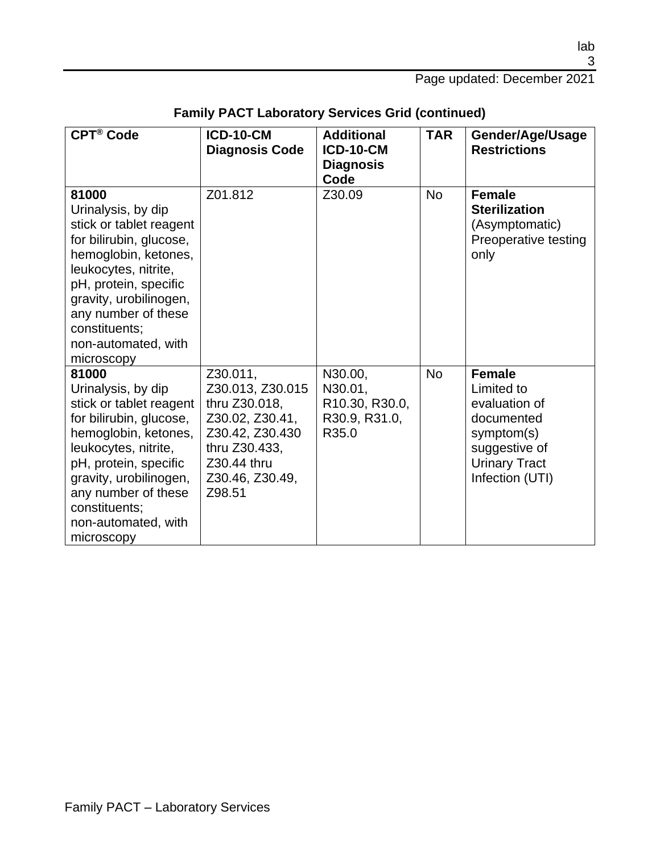| <b>CPT® Code</b>                                                                                                                                                                                                                                                  | <b>ICD-10-CM</b><br><b>Diagnosis Code</b>                                                                                                        | <b>Additional</b><br><b>ICD-10-CM</b><br><b>Diagnosis</b><br>Code | <b>TAR</b> | Gender/Age/Usage<br><b>Restrictions</b>                                                                                              |
|-------------------------------------------------------------------------------------------------------------------------------------------------------------------------------------------------------------------------------------------------------------------|--------------------------------------------------------------------------------------------------------------------------------------------------|-------------------------------------------------------------------|------------|--------------------------------------------------------------------------------------------------------------------------------------|
| 81000<br>Urinalysis, by dip<br>stick or tablet reagent<br>for bilirubin, glucose,<br>hemoglobin, ketones,<br>leukocytes, nitrite,<br>pH, protein, specific<br>gravity, urobilinogen,<br>any number of these<br>constituents;<br>non-automated, with<br>microscopy | Z01.812                                                                                                                                          | Z30.09                                                            | <b>No</b>  | <b>Female</b><br><b>Sterilization</b><br>(Asymptomatic)<br>Preoperative testing<br>only                                              |
| 81000<br>Urinalysis, by dip<br>stick or tablet reagent<br>for bilirubin, glucose,<br>hemoglobin, ketones,<br>leukocytes, nitrite,<br>pH, protein, specific<br>gravity, urobilinogen,<br>any number of these<br>constituents;<br>non-automated, with<br>microscopy | Z30.011,<br>Z30.013, Z30.015<br>thru Z30.018,<br>Z30.02, Z30.41,<br>Z30.42, Z30.430<br>thru Z30.433,<br>Z30.44 thru<br>Z30.46, Z30.49,<br>Z98.51 | N30.00,<br>N30.01,<br>R10.30, R30.0,<br>R30.9, R31.0,<br>R35.0    | <b>No</b>  | <b>Female</b><br>Limited to<br>evaluation of<br>documented<br>symptom(s)<br>suggestive of<br><b>Urinary Tract</b><br>Infection (UTI) |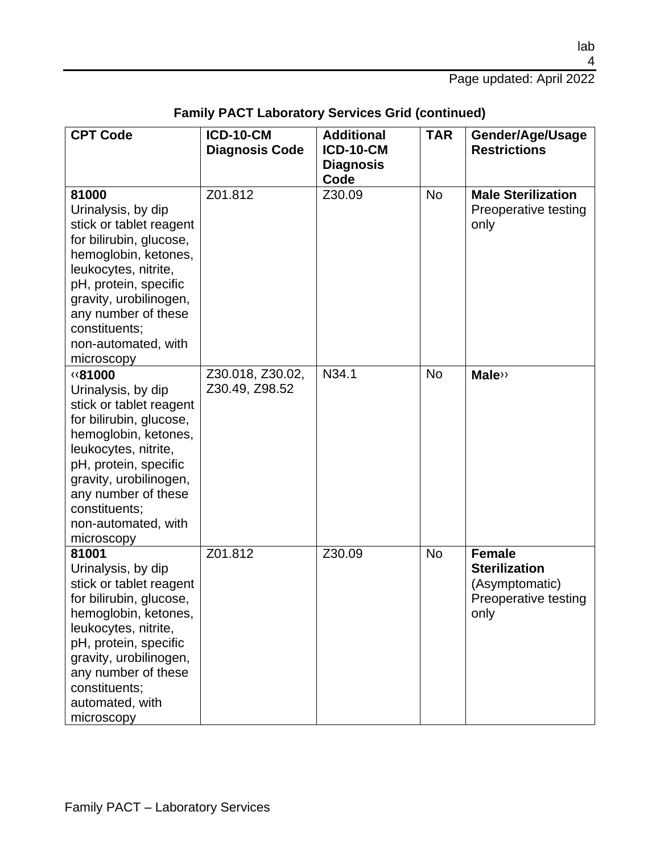4

lab

Page updated: April 2022

| <b>CPT Code</b>                                                                                                                                                                                                                                                           | <b>ICD-10-CM</b><br><b>Diagnosis Code</b> | <b>Additional</b><br><b>ICD-10-CM</b><br><b>Diagnosis</b><br>Code | <b>TAR</b> | Gender/Age/Usage<br><b>Restrictions</b>                                                 |
|---------------------------------------------------------------------------------------------------------------------------------------------------------------------------------------------------------------------------------------------------------------------------|-------------------------------------------|-------------------------------------------------------------------|------------|-----------------------------------------------------------------------------------------|
| 81000<br>Urinalysis, by dip<br>stick or tablet reagent<br>for bilirubin, glucose,<br>hemoglobin, ketones,<br>leukocytes, nitrite,<br>pH, protein, specific<br>gravity, urobilinogen,<br>any number of these<br>constituents;<br>non-automated, with<br>microscopy         | Z01.812                                   | Z30.09                                                            | <b>No</b>  | <b>Male Sterilization</b><br>Preoperative testing<br>only                               |
| <b>«81000</b><br>Urinalysis, by dip<br>stick or tablet reagent<br>for bilirubin, glucose,<br>hemoglobin, ketones,<br>leukocytes, nitrite,<br>pH, protein, specific<br>gravity, urobilinogen,<br>any number of these<br>constituents;<br>non-automated, with<br>microscopy | Z30.018, Z30.02,<br>Z30.49, Z98.52        | N34.1                                                             | <b>No</b>  | <b>Male</b>                                                                             |
| 81001<br>Urinalysis, by dip<br>stick or tablet reagent<br>for bilirubin, glucose,<br>hemoglobin, ketones,<br>leukocytes, nitrite,<br>pH, protein, specific<br>gravity, urobilinogen,<br>any number of these<br>constituents;<br>automated, with<br>microscopy             | Z01.812                                   | Z30.09                                                            | <b>No</b>  | <b>Female</b><br><b>Sterilization</b><br>(Asymptomatic)<br>Preoperative testing<br>only |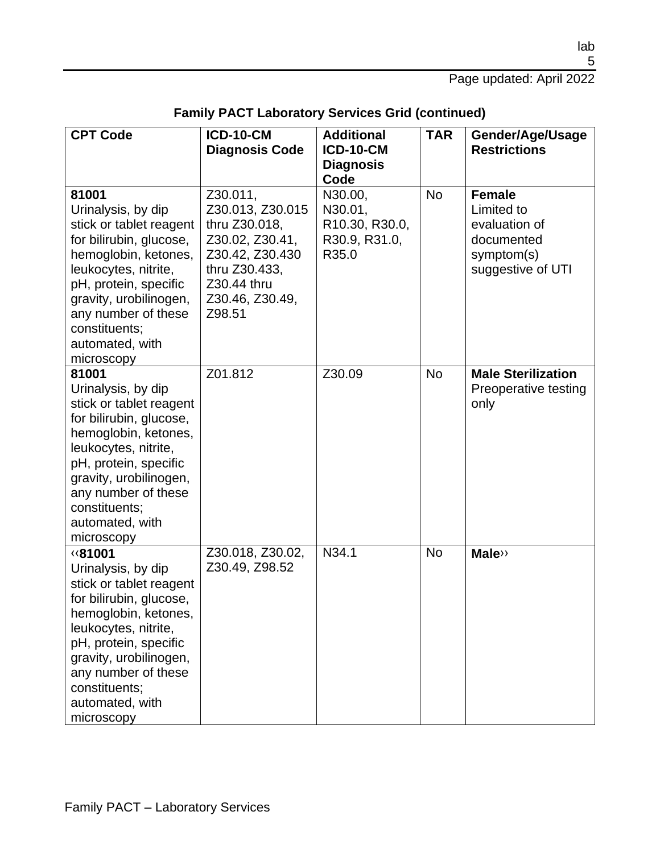| <b>CPT Code</b>                                                                                                                                                                                                                                                 | <b>ICD-10-CM</b><br><b>Diagnosis Code</b>                                                                                                        | <b>Additional</b><br><b>ICD-10-CM</b><br><b>Diagnosis</b>      | <b>TAR</b> | Gender/Age/Usage<br><b>Restrictions</b>                                                       |
|-----------------------------------------------------------------------------------------------------------------------------------------------------------------------------------------------------------------------------------------------------------------|--------------------------------------------------------------------------------------------------------------------------------------------------|----------------------------------------------------------------|------------|-----------------------------------------------------------------------------------------------|
|                                                                                                                                                                                                                                                                 |                                                                                                                                                  | Code                                                           |            |                                                                                               |
| 81001<br>Urinalysis, by dip<br>stick or tablet reagent<br>for bilirubin, glucose,<br>hemoglobin, ketones,<br>leukocytes, nitrite,<br>pH, protein, specific<br>gravity, urobilinogen,<br>any number of these<br>constituents;<br>automated, with<br>microscopy   | Z30.011,<br>Z30.013, Z30.015<br>thru Z30.018,<br>Z30.02, Z30.41,<br>Z30.42, Z30.430<br>thru Z30.433,<br>Z30.44 thru<br>Z30.46, Z30.49,<br>Z98.51 | N30.00,<br>N30.01,<br>R10.30, R30.0,<br>R30.9, R31.0,<br>R35.0 | <b>No</b>  | <b>Female</b><br>Limited to<br>evaluation of<br>documented<br>symptom(s)<br>suggestive of UTI |
| 81001<br>Urinalysis, by dip<br>stick or tablet reagent<br>for bilirubin, glucose,<br>hemoglobin, ketones,<br>leukocytes, nitrite,<br>pH, protein, specific<br>gravity, urobilinogen,<br>any number of these<br>constituents;<br>automated, with<br>microscopy   | Z01.812                                                                                                                                          | Z30.09                                                         | <b>No</b>  | <b>Male Sterilization</b><br>Preoperative testing<br>only                                     |
| ‹‹81001<br>Urinalysis, by dip<br>stick or tablet reagent<br>for bilirubin, glucose,<br>hemoglobin, ketones,<br>leukocytes, nitrite,<br>pH, protein, specific<br>gravity, urobilinogen,<br>any number of these<br>constituents;<br>automated, with<br>microscopy | Z30.018, Z30.02,<br>Z30.49, Z98.52                                                                                                               | N34.1                                                          | <b>No</b>  | <b>Male</b>                                                                                   |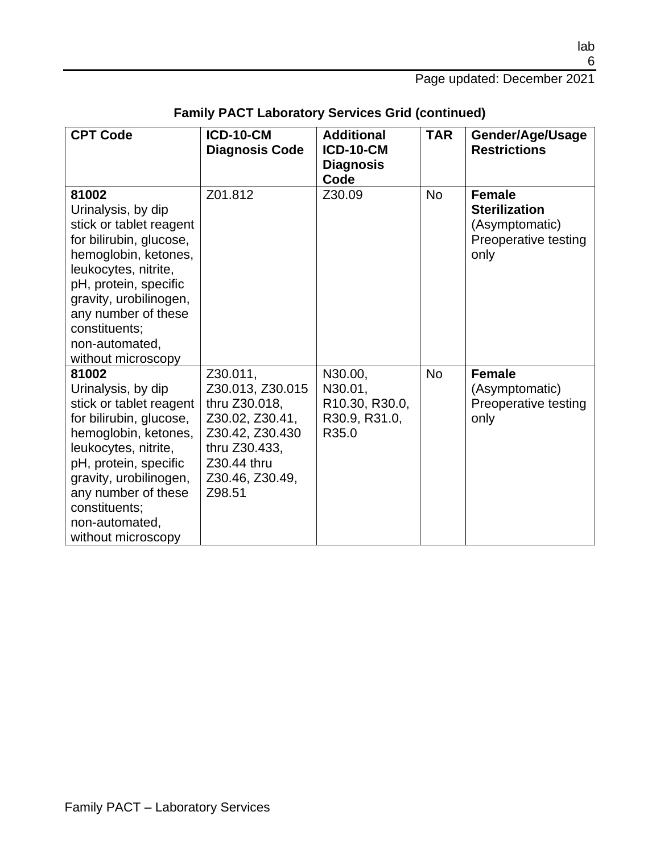| <b>CPT Code</b>                                                                                                                                                                                                                                                      | <b>ICD-10-CM</b><br><b>Diagnosis Code</b>                                                                                                        | <b>Additional</b><br><b>ICD-10-CM</b><br><b>Diagnosis</b><br>Code | <b>TAR</b> | Gender/Age/Usage<br><b>Restrictions</b>                                                 |
|----------------------------------------------------------------------------------------------------------------------------------------------------------------------------------------------------------------------------------------------------------------------|--------------------------------------------------------------------------------------------------------------------------------------------------|-------------------------------------------------------------------|------------|-----------------------------------------------------------------------------------------|
| 81002<br>Urinalysis, by dip<br>stick or tablet reagent<br>for bilirubin, glucose,<br>hemoglobin, ketones,<br>leukocytes, nitrite,<br>pH, protein, specific<br>gravity, urobilinogen,<br>any number of these<br>constituents;<br>non-automated,<br>without microscopy | Z01.812                                                                                                                                          | Z30.09                                                            | <b>No</b>  | <b>Female</b><br><b>Sterilization</b><br>(Asymptomatic)<br>Preoperative testing<br>only |
| 81002<br>Urinalysis, by dip<br>stick or tablet reagent<br>for bilirubin, glucose,<br>hemoglobin, ketones,<br>leukocytes, nitrite,<br>pH, protein, specific<br>gravity, urobilinogen,<br>any number of these<br>constituents;<br>non-automated,<br>without microscopy | Z30.011,<br>Z30.013, Z30.015<br>thru Z30.018,<br>Z30.02, Z30.41,<br>Z30.42, Z30.430<br>thru Z30.433,<br>Z30.44 thru<br>Z30.46, Z30.49,<br>Z98.51 | N30.00,<br>N30.01,<br>R10.30, R30.0,<br>R30.9, R31.0,<br>R35.0    | <b>No</b>  | <b>Female</b><br>(Asymptomatic)<br>Preoperative testing<br>only                         |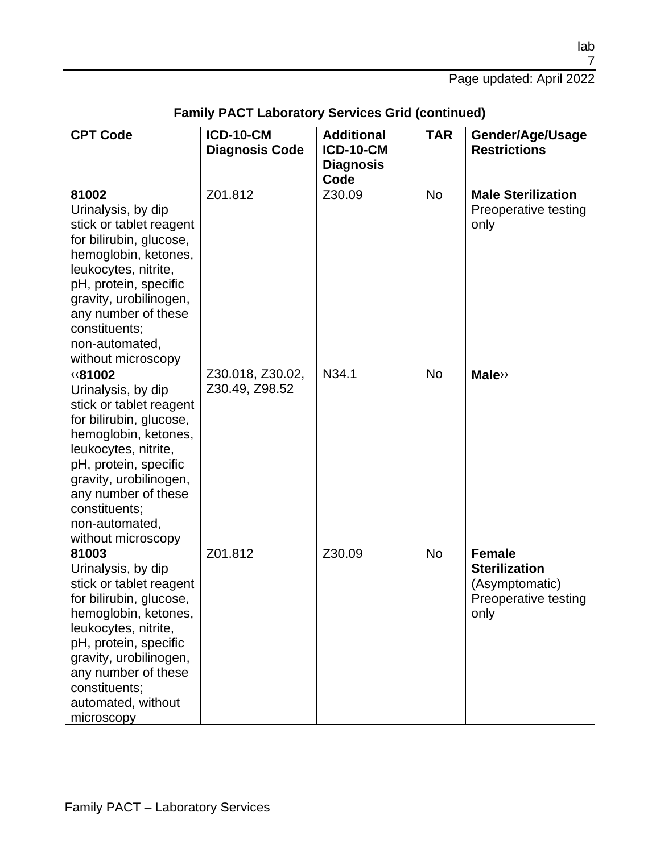| <b>CPT Code</b>                                                                                                                                                                                                                                                              | <b>ICD-10-CM</b><br><b>Diagnosis Code</b> | <b>Additional</b><br><b>ICD-10-CM</b><br><b>Diagnosis</b><br>Code | <b>TAR</b> | Gender/Age/Usage<br><b>Restrictions</b>                                                 |
|------------------------------------------------------------------------------------------------------------------------------------------------------------------------------------------------------------------------------------------------------------------------------|-------------------------------------------|-------------------------------------------------------------------|------------|-----------------------------------------------------------------------------------------|
| 81002<br>Urinalysis, by dip<br>stick or tablet reagent<br>for bilirubin, glucose,<br>hemoglobin, ketones,<br>leukocytes, nitrite,<br>pH, protein, specific<br>gravity, urobilinogen,<br>any number of these<br>constituents;<br>non-automated,<br>without microscopy         | Z01.812                                   | Z30.09                                                            | <b>No</b>  | <b>Male Sterilization</b><br>Preoperative testing<br>only                               |
| <b>«81002</b><br>Urinalysis, by dip<br>stick or tablet reagent<br>for bilirubin, glucose,<br>hemoglobin, ketones,<br>leukocytes, nitrite,<br>pH, protein, specific<br>gravity, urobilinogen,<br>any number of these<br>constituents;<br>non-automated,<br>without microscopy | Z30.018, Z30.02,<br>Z30.49, Z98.52        | N34.1                                                             | <b>No</b>  | <b>Male</b> >>                                                                          |
| 81003<br>Urinalysis, by dip<br>stick or tablet reagent<br>for bilirubin, glucose,<br>hemoglobin, ketones,<br>leukocytes, nitrite,<br>pH, protein, specific<br>gravity, urobilinogen,<br>any number of these<br>constituents;<br>automated, without<br>microscopy             | Z01.812                                   | Z30.09                                                            | <b>No</b>  | <b>Female</b><br><b>Sterilization</b><br>(Asymptomatic)<br>Preoperative testing<br>only |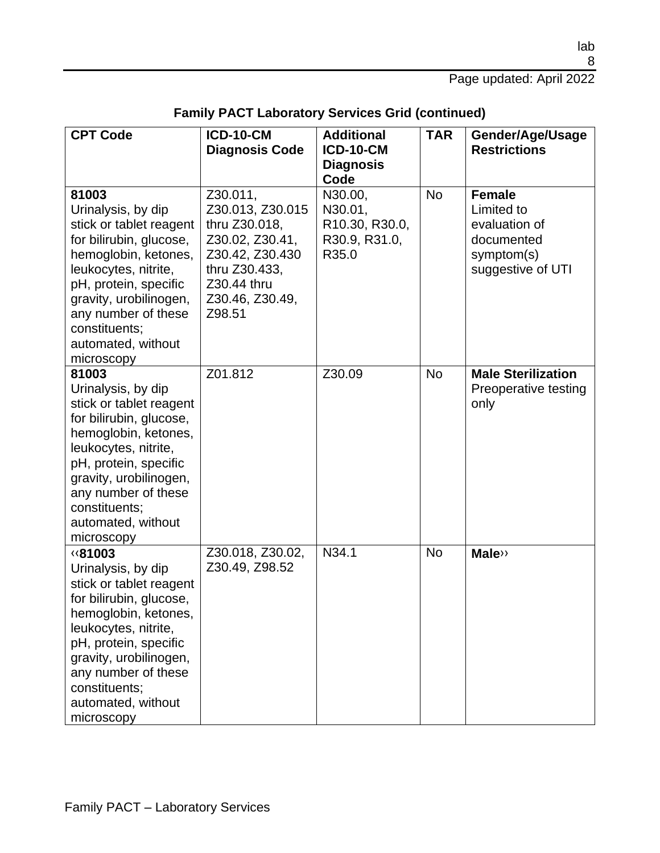| <b>CPT Code</b>                                                                                                                                                                                                                                                          | <b>ICD-10-CM</b><br><b>Diagnosis Code</b>                                                                                                        | <b>Additional</b><br><b>ICD-10-CM</b>                          | <b>TAR</b> | Gender/Age/Usage<br><b>Restrictions</b>                                                       |
|--------------------------------------------------------------------------------------------------------------------------------------------------------------------------------------------------------------------------------------------------------------------------|--------------------------------------------------------------------------------------------------------------------------------------------------|----------------------------------------------------------------|------------|-----------------------------------------------------------------------------------------------|
|                                                                                                                                                                                                                                                                          |                                                                                                                                                  | <b>Diagnosis</b><br>Code                                       |            |                                                                                               |
| 81003<br>Urinalysis, by dip<br>stick or tablet reagent<br>for bilirubin, glucose,<br>hemoglobin, ketones,<br>leukocytes, nitrite,<br>pH, protein, specific<br>gravity, urobilinogen,<br>any number of these<br>constituents;<br>automated, without<br>microscopy         | Z30.011,<br>Z30.013, Z30.015<br>thru Z30.018,<br>Z30.02, Z30.41,<br>Z30.42, Z30.430<br>thru Z30.433,<br>Z30.44 thru<br>Z30.46, Z30.49,<br>Z98.51 | N30.00,<br>N30.01,<br>R10.30, R30.0,<br>R30.9, R31.0,<br>R35.0 | <b>No</b>  | <b>Female</b><br>Limited to<br>evaluation of<br>documented<br>symptom(s)<br>suggestive of UTI |
| 81003<br>Urinalysis, by dip<br>stick or tablet reagent<br>for bilirubin, glucose,<br>hemoglobin, ketones,<br>leukocytes, nitrite,<br>pH, protein, specific<br>gravity, urobilinogen,<br>any number of these<br>constituents;<br>automated, without<br>microscopy         | Z01.812                                                                                                                                          | Z30.09                                                         | <b>No</b>  | <b>Male Sterilization</b><br>Preoperative testing<br>only                                     |
| <b>«81003</b><br>Urinalysis, by dip<br>stick or tablet reagent<br>for bilirubin, glucose,<br>hemoglobin, ketones,<br>leukocytes, nitrite,<br>pH, protein, specific<br>gravity, urobilinogen,<br>any number of these<br>constituents;<br>automated, without<br>microscopy | Z30.018, Z30.02,<br>Z30.49, Z98.52                                                                                                               | N34.1                                                          | No         | <b>Male</b> >>                                                                                |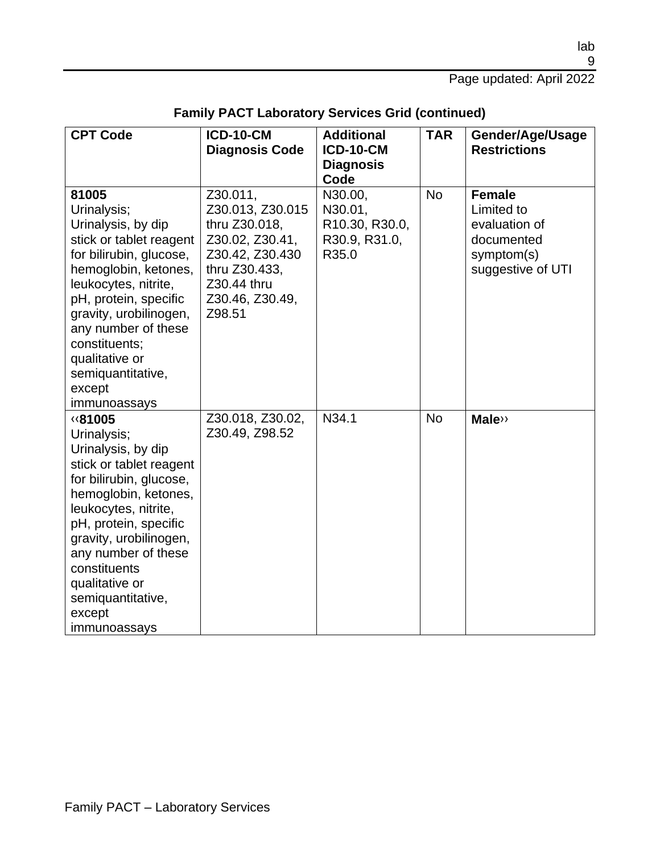| <b>CPT Code</b>                                                                                                                                                                                                                                                                                                     | <b>ICD-10-CM</b><br><b>Diagnosis Code</b>                                                                                                        | <b>Additional</b><br><b>ICD-10-CM</b><br><b>Diagnosis</b>      | <b>TAR</b> | Gender/Age/Usage<br><b>Restrictions</b>                                                       |
|---------------------------------------------------------------------------------------------------------------------------------------------------------------------------------------------------------------------------------------------------------------------------------------------------------------------|--------------------------------------------------------------------------------------------------------------------------------------------------|----------------------------------------------------------------|------------|-----------------------------------------------------------------------------------------------|
|                                                                                                                                                                                                                                                                                                                     |                                                                                                                                                  | Code                                                           |            |                                                                                               |
| 81005<br>Urinalysis;<br>Urinalysis, by dip<br>stick or tablet reagent<br>for bilirubin, glucose,<br>hemoglobin, ketones,<br>leukocytes, nitrite,<br>pH, protein, specific<br>gravity, urobilinogen,<br>any number of these<br>constituents;<br>qualitative or<br>semiquantitative,<br>except<br>immunoassays        | Z30.011,<br>Z30.013, Z30.015<br>thru Z30.018,<br>Z30.02, Z30.41,<br>Z30.42, Z30.430<br>thru Z30.433,<br>Z30.44 thru<br>Z30.46, Z30.49,<br>Z98.51 | N30.00,<br>N30.01,<br>R10.30, R30.0,<br>R30.9, R31.0,<br>R35.0 | <b>No</b>  | <b>Female</b><br>Limited to<br>evaluation of<br>documented<br>symptom(s)<br>suggestive of UTI |
| <b>«81005</b><br>Urinalysis;<br>Urinalysis, by dip<br>stick or tablet reagent<br>for bilirubin, glucose,<br>hemoglobin, ketones,<br>leukocytes, nitrite,<br>pH, protein, specific<br>gravity, urobilinogen,<br>any number of these<br>constituents<br>qualitative or<br>semiquantitative,<br>except<br>immunoassays | Z30.018, Z30.02,<br>Z30.49, Z98.52                                                                                                               | N34.1                                                          | <b>No</b>  | <b>Male</b>                                                                                   |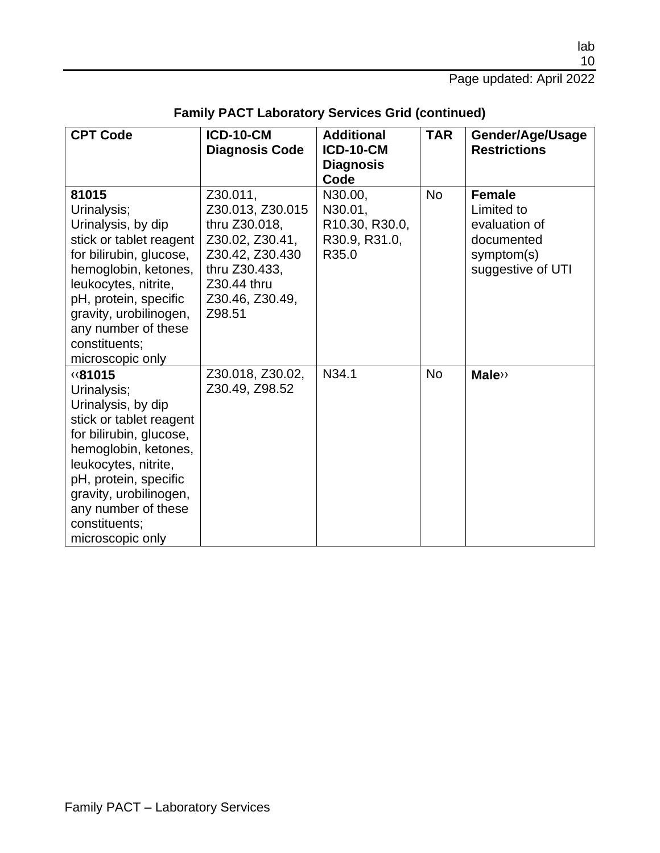| <b>CPT Code</b>                                                                                                                                                                                                                                                   | <b>ICD-10-CM</b><br><b>Diagnosis Code</b>                                                                                                        | <b>Additional</b><br><b>ICD-10-CM</b><br><b>Diagnosis</b><br>Code | <b>TAR</b> | Gender/Age/Usage<br><b>Restrictions</b>                                                       |
|-------------------------------------------------------------------------------------------------------------------------------------------------------------------------------------------------------------------------------------------------------------------|--------------------------------------------------------------------------------------------------------------------------------------------------|-------------------------------------------------------------------|------------|-----------------------------------------------------------------------------------------------|
| 81015<br>Urinalysis;<br>Urinalysis, by dip<br>stick or tablet reagent<br>for bilirubin, glucose,<br>hemoglobin, ketones,<br>leukocytes, nitrite,<br>pH, protein, specific<br>gravity, urobilinogen,<br>any number of these<br>constituents;<br>microscopic only   | Z30.011,<br>Z30.013, Z30.015<br>thru Z30.018,<br>Z30.02, Z30.41,<br>Z30.42, Z30.430<br>thru Z30.433,<br>Z30.44 thru<br>Z30.46, Z30.49,<br>Z98.51 | N30.00,<br>N30.01,<br>R10.30, R30.0,<br>R30.9, R31.0,<br>R35.0    | <b>No</b>  | <b>Female</b><br>Limited to<br>evaluation of<br>documented<br>symptom(s)<br>suggestive of UTI |
| ‹‹81015<br>Urinalysis;<br>Urinalysis, by dip<br>stick or tablet reagent<br>for bilirubin, glucose,<br>hemoglobin, ketones,<br>leukocytes, nitrite,<br>pH, protein, specific<br>gravity, urobilinogen,<br>any number of these<br>constituents;<br>microscopic only | Z30.018, Z30.02,<br>Z30.49, Z98.52                                                                                                               | N34.1                                                             | <b>No</b>  | <b>Male</b> >>                                                                                |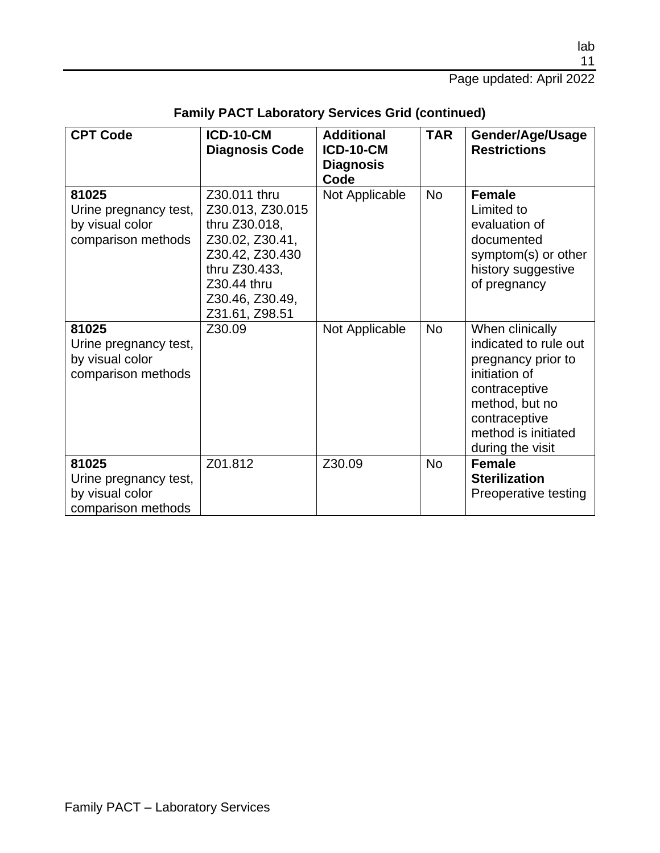Page updated: April 2022

| <b>CPT Code</b>                                                         | <b>ICD-10-CM</b><br><b>Diagnosis Code</b>                                                                                                                    | <b>Additional</b><br><b>ICD-10-CM</b><br><b>Diagnosis</b><br>Code | <b>TAR</b> | Gender/Age/Usage<br><b>Restrictions</b>                                                                                                                                        |
|-------------------------------------------------------------------------|--------------------------------------------------------------------------------------------------------------------------------------------------------------|-------------------------------------------------------------------|------------|--------------------------------------------------------------------------------------------------------------------------------------------------------------------------------|
| 81025<br>Urine pregnancy test,<br>by visual color<br>comparison methods | Z30.011 thru<br>Z30.013, Z30.015<br>thru Z30.018,<br>Z30.02, Z30.41,<br>Z30.42, Z30.430<br>thru Z30.433,<br>Z30.44 thru<br>Z30.46, Z30.49,<br>Z31.61, Z98.51 | Not Applicable                                                    | <b>No</b>  | <b>Female</b><br>Limited to<br>evaluation of<br>documented<br>symptom(s) or other<br>history suggestive<br>of pregnancy                                                        |
| 81025<br>Urine pregnancy test,<br>by visual color<br>comparison methods | Z30.09                                                                                                                                                       | Not Applicable                                                    | <b>No</b>  | When clinically<br>indicated to rule out<br>pregnancy prior to<br>initiation of<br>contraceptive<br>method, but no<br>contraceptive<br>method is initiated<br>during the visit |
| 81025<br>Urine pregnancy test,<br>by visual color<br>comparison methods | Z01.812                                                                                                                                                      | Z30.09                                                            | <b>No</b>  | <b>Female</b><br><b>Sterilization</b><br>Preoperative testing                                                                                                                  |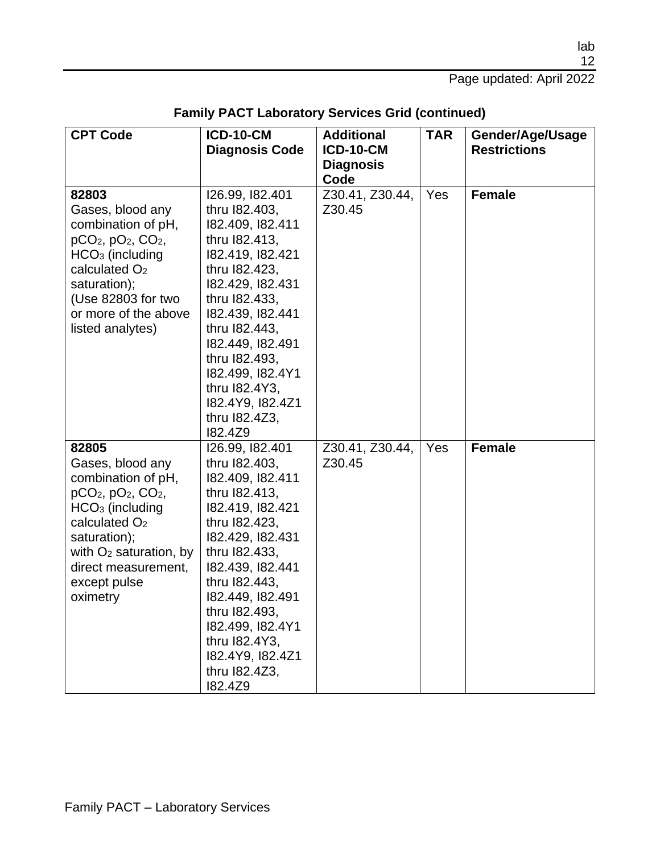| <b>CPT Code</b>                                                                                                                                                                                                              | <b>ICD-10-CM</b><br><b>Diagnosis Code</b>                                                                                                                                                                                                                                                                             | <b>Additional</b><br><b>ICD-10-CM</b><br><b>Diagnosis</b><br>Code | <b>TAR</b> | Gender/Age/Usage<br><b>Restrictions</b> |
|------------------------------------------------------------------------------------------------------------------------------------------------------------------------------------------------------------------------------|-----------------------------------------------------------------------------------------------------------------------------------------------------------------------------------------------------------------------------------------------------------------------------------------------------------------------|-------------------------------------------------------------------|------------|-----------------------------------------|
| 82803<br>Gases, blood any<br>combination of pH,<br>$pCO2$ , $pO2$ , $CO2$ ,<br>$HCO3$ (including<br>calculated O <sub>2</sub><br>saturation);<br>(Use 82803 for two<br>or more of the above<br>listed analytes)              | 126.99, 182.401<br>thru I82.403,<br>182.409, 182.411<br>thru I82.413,<br>182.419, 182.421<br>thru I82.423,<br>182.429, 182.431<br>thru 182.433,<br>182.439, 182.441<br>thru I82.443,<br>182.449, 182.491<br>thru I82.493,<br>182.499, 182.4Y1<br>thru I82.4Y3,<br>182.4Y9, 182.4Z1<br>thru 182.4Z3,<br>I82.4Z9        | Z30.41, Z30.44,<br>Z30.45                                         | Yes        | <b>Female</b>                           |
| 82805<br>Gases, blood any<br>combination of pH,<br>$pCO2$ , $pO2$ , $CO2$ ,<br>$HCO3$ (including<br>calculated O <sub>2</sub><br>saturation);<br>with $O2$ saturation, by<br>direct measurement,<br>except pulse<br>oximetry | 126.99, 182.401<br>thru I82.403,<br>182.409, 182.411<br>thru I82.413,<br>182.419, 182.421<br>thru 182.423,<br>182.429, 182.431<br>thru 182.433,<br>182.439, 182.441<br>thru I82.443,<br>182.449, 182.491<br>thru I82.493,<br>182.499, 182.4Y1<br>thru I82.4Y3,<br>182.4Y9, 182.4Z1<br>thru I82.4Z3,<br><b>182.4Z9</b> | Z30.41, Z30.44,<br>Z30.45                                         | Yes        | <b>Female</b>                           |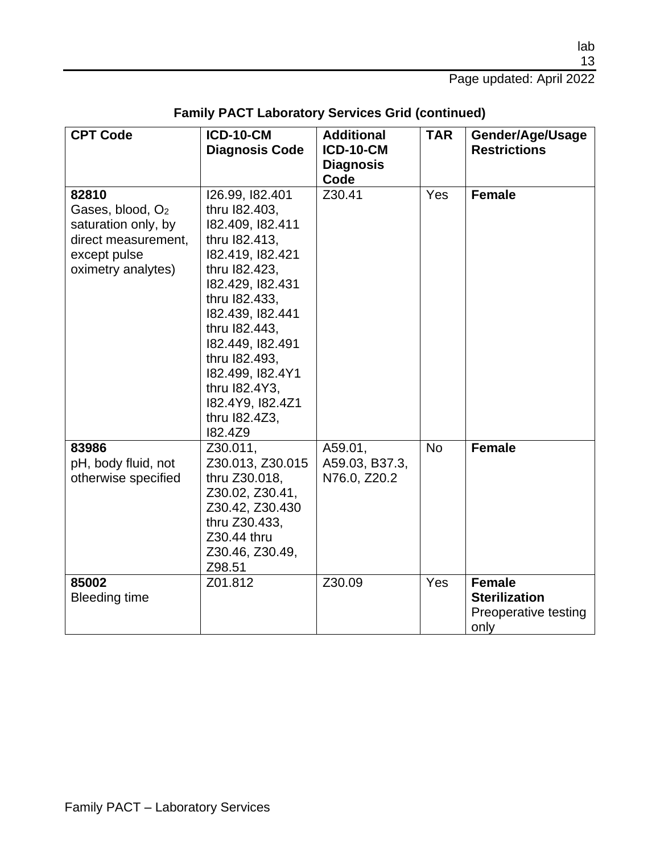| <b>CPT Code</b>                                                                                                           | <b>ICD-10-CM</b><br><b>Diagnosis Code</b>                                                                                                                                                                                                                                                                      | <b>Additional</b><br><b>ICD-10-CM</b>     | <b>TAR</b> | Gender/Age/Usage<br><b>Restrictions</b>                               |
|---------------------------------------------------------------------------------------------------------------------------|----------------------------------------------------------------------------------------------------------------------------------------------------------------------------------------------------------------------------------------------------------------------------------------------------------------|-------------------------------------------|------------|-----------------------------------------------------------------------|
|                                                                                                                           |                                                                                                                                                                                                                                                                                                                | <b>Diagnosis</b><br>Code                  |            |                                                                       |
| 82810<br>Gases, blood, O <sub>2</sub><br>saturation only, by<br>direct measurement,<br>except pulse<br>oximetry analytes) | 126.99, 182.401<br>thru I82.403,<br>182.409, 182.411<br>thru I82.413,<br>182.419, 182.421<br>thru 182.423,<br>182.429, 182.431<br>thru I82.433,<br>182.439, 182.441<br>thru 182.443,<br>182.449, 182.491<br>thru I82.493,<br>182.499, 182.4Y1<br>thru I82.4Y3,<br>182.4Y9, 182.4Z1<br>thru I82.4Z3,<br>182.4Z9 | Z30.41                                    | Yes        | <b>Female</b>                                                         |
| 83986<br>pH, body fluid, not<br>otherwise specified                                                                       | Z30.011,<br>Z30.013, Z30.015<br>thru Z30.018,<br>Z30.02, Z30.41,<br>Z30.42, Z30.430<br>thru Z30.433,<br>Z30.44 thru<br>Z30.46, Z30.49,<br>Z98.51                                                                                                                                                               | A59.01,<br>A59.03, B37.3,<br>N76.0, Z20.2 | <b>No</b>  | <b>Female</b>                                                         |
| 85002<br><b>Bleeding time</b>                                                                                             | Z01.812                                                                                                                                                                                                                                                                                                        | Z30.09                                    | Yes        | <b>Female</b><br><b>Sterilization</b><br>Preoperative testing<br>only |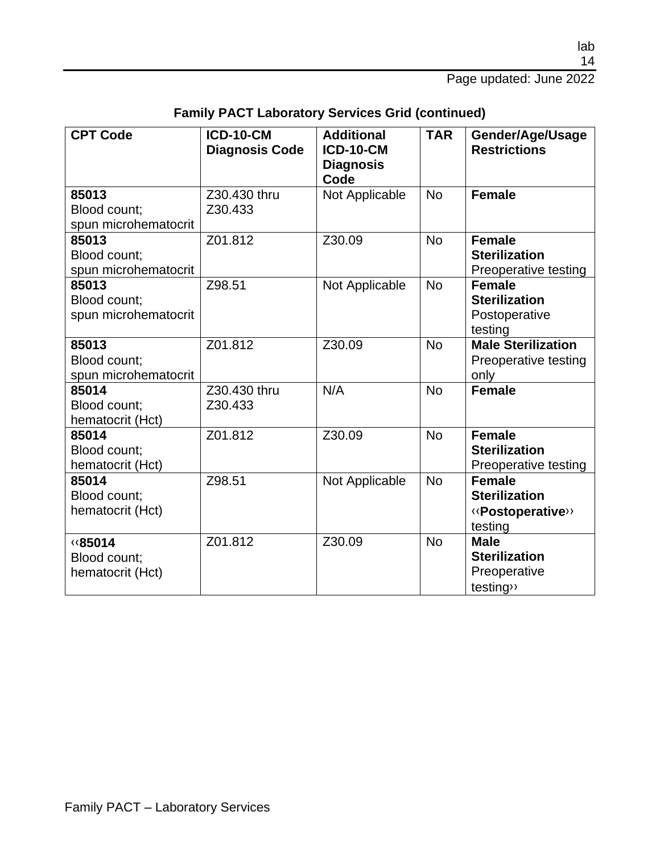Page updated: June 2022

| <b>CPT Code</b>                               | <b>ICD-10-CM</b><br><b>Diagnosis Code</b> | <b>Additional</b><br><b>ICD-10-CM</b><br><b>Diagnosis</b><br>Code | <b>TAR</b> | Gender/Age/Usage<br><b>Restrictions</b>                             |
|-----------------------------------------------|-------------------------------------------|-------------------------------------------------------------------|------------|---------------------------------------------------------------------|
| 85013<br>Blood count;<br>spun microhematocrit | Z30.430 thru<br>Z30.433                   | Not Applicable                                                    | <b>No</b>  | <b>Female</b>                                                       |
| 85013<br>Blood count;<br>spun microhematocrit | Z01.812                                   | Z30.09                                                            | <b>No</b>  | <b>Female</b><br><b>Sterilization</b><br>Preoperative testing       |
| 85013<br>Blood count;<br>spun microhematocrit | Z98.51                                    | Not Applicable                                                    | <b>No</b>  | <b>Female</b><br><b>Sterilization</b><br>Postoperative<br>testing   |
| 85013<br>Blood count;<br>spun microhematocrit | Z01.812                                   | Z30.09                                                            | <b>No</b>  | <b>Male Sterilization</b><br>Preoperative testing<br>only           |
| 85014<br>Blood count;<br>hematocrit (Hct)     | Z30.430 thru<br>Z30.433                   | N/A                                                               | <b>No</b>  | <b>Female</b>                                                       |
| 85014<br>Blood count;<br>hematocrit (Hct)     | Z01.812                                   | Z30.09                                                            | <b>No</b>  | <b>Female</b><br><b>Sterilization</b><br>Preoperative testing       |
| 85014<br>Blood count;<br>hematocrit (Hct)     | Z98.51                                    | Not Applicable                                                    | <b>No</b>  | <b>Female</b><br><b>Sterilization</b><br>«Postoperative»<br>testing |
| ‹‹85014<br>Blood count;<br>hematocrit (Hct)   | Z01.812                                   | Z30.09                                                            | <b>No</b>  | <b>Male</b><br><b>Sterilization</b><br>Preoperative<br>testing>>    |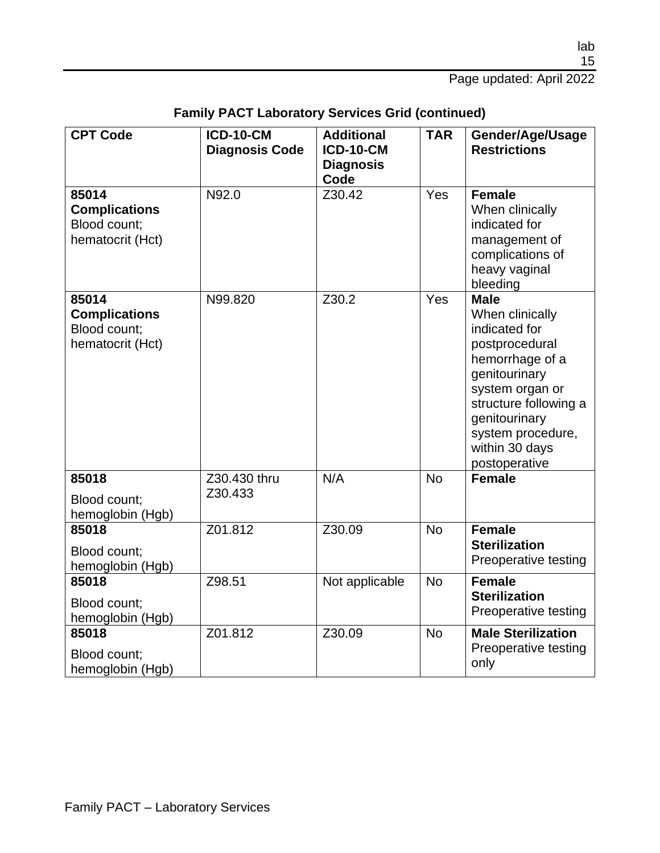Page updated: April 2022

| <b>CPT Code</b>                                                   | <b>ICD-10-CM</b><br><b>Diagnosis Code</b> | <b>Additional</b><br><b>ICD-10-CM</b><br><b>Diagnosis</b><br>Code | <b>TAR</b> | Gender/Age/Usage<br><b>Restrictions</b>                                                                                                                                                                                    |
|-------------------------------------------------------------------|-------------------------------------------|-------------------------------------------------------------------|------------|----------------------------------------------------------------------------------------------------------------------------------------------------------------------------------------------------------------------------|
| 85014<br><b>Complications</b><br>Blood count;<br>hematocrit (Hct) | N92.0                                     | Z30.42                                                            | Yes        | <b>Female</b><br>When clinically<br>indicated for<br>management of<br>complications of<br>heavy vaginal<br>bleeding                                                                                                        |
| 85014<br><b>Complications</b><br>Blood count;<br>hematocrit (Hct) | N99.820                                   | Z30.2                                                             | Yes        | <b>Male</b><br>When clinically<br>indicated for<br>postprocedural<br>hemorrhage of a<br>genitourinary<br>system organ or<br>structure following a<br>genitourinary<br>system procedure,<br>within 30 days<br>postoperative |
| 85018<br>Blood count;<br>hemoglobin (Hgb)                         | Z30.430 thru<br>Z30.433                   | N/A                                                               | <b>No</b>  | <b>Female</b>                                                                                                                                                                                                              |
| 85018<br>Blood count;<br>hemoglobin (Hgb)                         | Z01.812                                   | Z30.09                                                            | <b>No</b>  | <b>Female</b><br><b>Sterilization</b><br>Preoperative testing                                                                                                                                                              |
| 85018<br>Blood count;<br>hemoglobin (Hgb)                         | Z98.51                                    | Not applicable                                                    | <b>No</b>  | <b>Female</b><br><b>Sterilization</b><br>Preoperative testing                                                                                                                                                              |
| 85018<br>Blood count;<br>hemoglobin (Hgb)                         | Z01.812                                   | Z30.09                                                            | <b>No</b>  | <b>Male Sterilization</b><br>Preoperative testing<br>only                                                                                                                                                                  |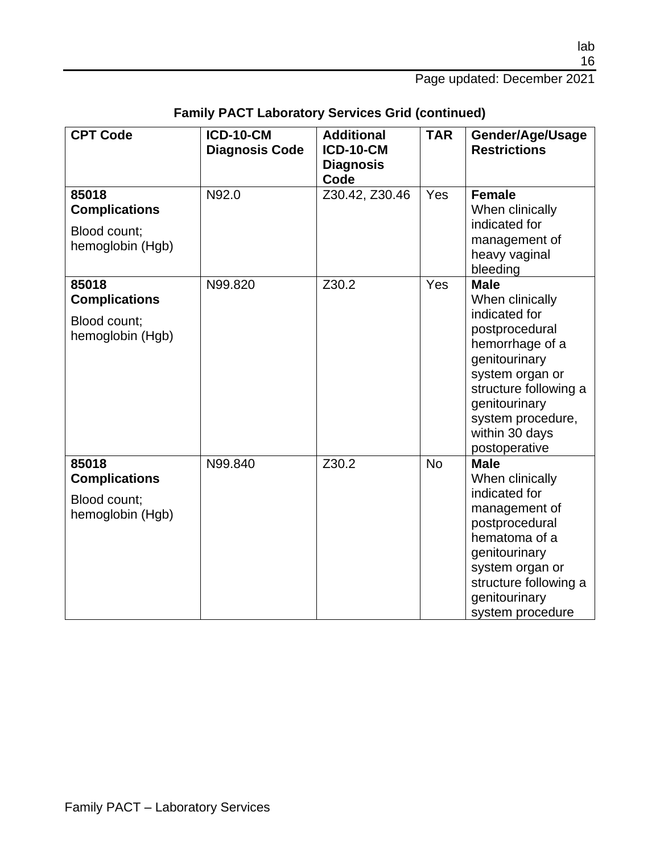| <b>CPT Code</b>                                                   | <b>ICD-10-CM</b><br><b>Diagnosis Code</b> | <b>Additional</b><br><b>ICD-10-CM</b><br><b>Diagnosis</b><br>Code | <b>TAR</b> | Gender/Age/Usage<br><b>Restrictions</b>                                                                                                                                                                                    |
|-------------------------------------------------------------------|-------------------------------------------|-------------------------------------------------------------------|------------|----------------------------------------------------------------------------------------------------------------------------------------------------------------------------------------------------------------------------|
| 85018<br><b>Complications</b><br>Blood count:<br>hemoglobin (Hgb) | N92.0                                     | Z30.42, Z30.46                                                    | Yes        | <b>Female</b><br>When clinically<br>indicated for<br>management of<br>heavy vaginal<br>bleeding                                                                                                                            |
| 85018<br><b>Complications</b><br>Blood count;<br>hemoglobin (Hgb) | N99.820                                   | Z30.2                                                             | Yes        | <b>Male</b><br>When clinically<br>indicated for<br>postprocedural<br>hemorrhage of a<br>genitourinary<br>system organ or<br>structure following a<br>genitourinary<br>system procedure,<br>within 30 days<br>postoperative |
| 85018<br><b>Complications</b><br>Blood count;<br>hemoglobin (Hgb) | N99.840                                   | Z30.2                                                             | <b>No</b>  | <b>Male</b><br>When clinically<br>indicated for<br>management of<br>postprocedural<br>hematoma of a<br>genitourinary<br>system organ or<br>structure following a<br>genitourinary<br>system procedure                      |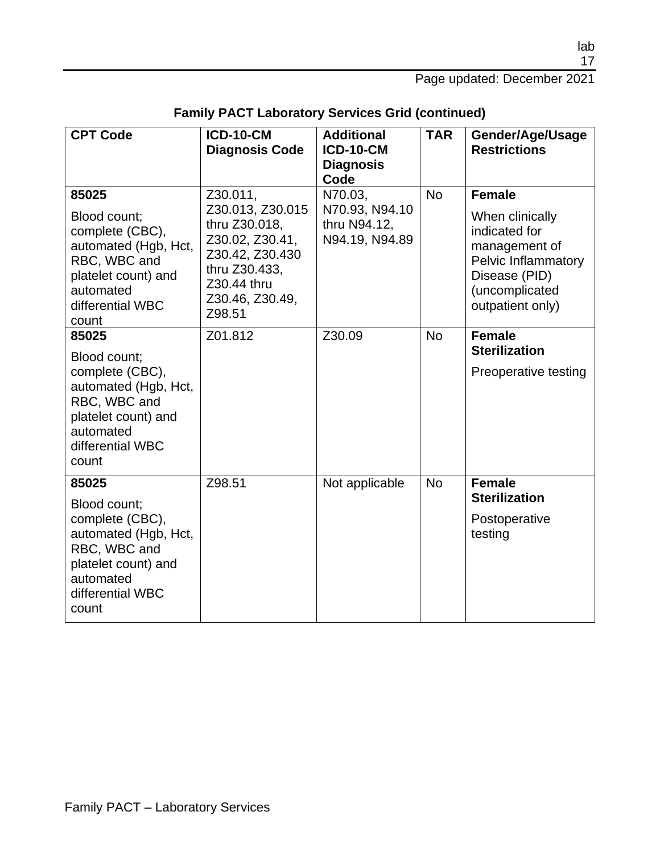| <b>CPT Code</b>                                                                                                                                   | <b>ICD-10-CM</b><br><b>Diagnosis Code</b>                                                                                                        | <b>Additional</b><br><b>ICD-10-CM</b><br><b>Diagnosis</b><br>Code | <b>TAR</b> | Gender/Age/Usage<br><b>Restrictions</b>                                                                                                          |
|---------------------------------------------------------------------------------------------------------------------------------------------------|--------------------------------------------------------------------------------------------------------------------------------------------------|-------------------------------------------------------------------|------------|--------------------------------------------------------------------------------------------------------------------------------------------------|
| 85025<br>Blood count;<br>complete (CBC),<br>automated (Hgb, Hct,<br>RBC, WBC and<br>platelet count) and<br>automated<br>differential WBC<br>count | Z30.011,<br>Z30.013, Z30.015<br>thru Z30.018,<br>Z30.02, Z30.41,<br>Z30.42, Z30.430<br>thru Z30.433,<br>Z30.44 thru<br>Z30.46, Z30.49,<br>Z98.51 | N70.03,<br>N70.93, N94.10<br>thru N94.12,<br>N94.19, N94.89       | <b>No</b>  | <b>Female</b><br>When clinically<br>indicated for<br>management of<br>Pelvic Inflammatory<br>Disease (PID)<br>(uncomplicated<br>outpatient only) |
| 85025<br>Blood count;<br>complete (CBC),<br>automated (Hgb, Hct,<br>RBC, WBC and<br>platelet count) and<br>automated<br>differential WBC<br>count | Z01.812                                                                                                                                          | Z30.09                                                            | <b>No</b>  | <b>Female</b><br><b>Sterilization</b><br>Preoperative testing                                                                                    |
| 85025<br>Blood count:<br>complete (CBC),<br>automated (Hgb, Hct,<br>RBC, WBC and<br>platelet count) and<br>automated<br>differential WBC<br>count | Z98.51                                                                                                                                           | Not applicable                                                    | <b>No</b>  | <b>Female</b><br><b>Sterilization</b><br>Postoperative<br>testing                                                                                |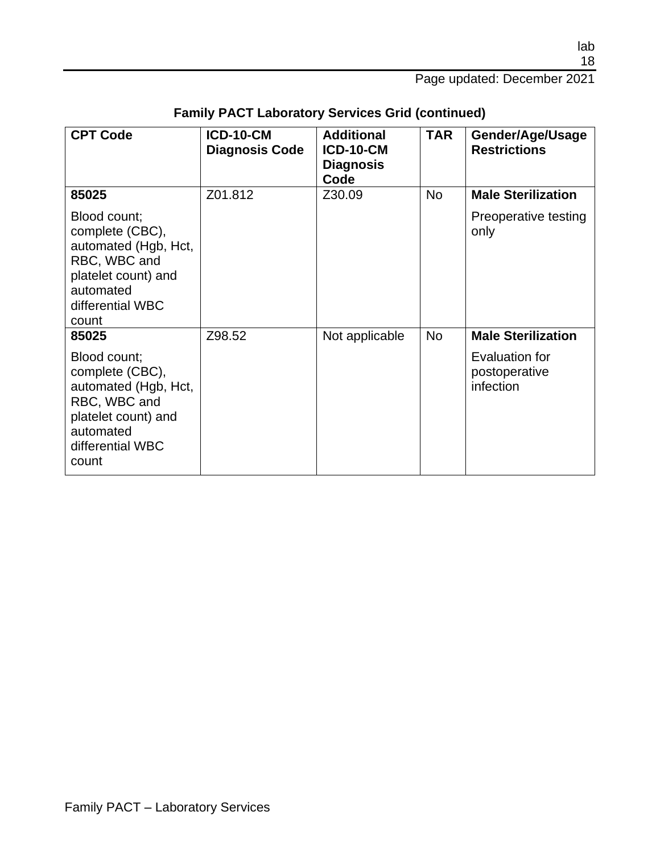| <b>CPT Code</b>                                                                                                                          | <b>ICD-10-CM</b><br><b>Diagnosis Code</b> | <b>Additional</b><br><b>ICD-10-CM</b><br><b>Diagnosis</b><br>Code | <b>TAR</b> | Gender/Age/Usage<br><b>Restrictions</b>      |
|------------------------------------------------------------------------------------------------------------------------------------------|-------------------------------------------|-------------------------------------------------------------------|------------|----------------------------------------------|
| 85025                                                                                                                                    | Z01.812                                   | Z30.09                                                            | <b>No</b>  | <b>Male Sterilization</b>                    |
| Blood count;<br>complete (CBC),<br>automated (Hgb, Hct,<br>RBC, WBC and<br>platelet count) and<br>automated<br>differential WBC<br>count |                                           |                                                                   |            | Preoperative testing<br>only                 |
| 85025                                                                                                                                    | Z98.52                                    | Not applicable                                                    | <b>No</b>  | <b>Male Sterilization</b>                    |
| Blood count;<br>complete (CBC),<br>automated (Hgb, Hct,<br>RBC, WBC and<br>platelet count) and<br>automated<br>differential WBC<br>count |                                           |                                                                   |            | Evaluation for<br>postoperative<br>infection |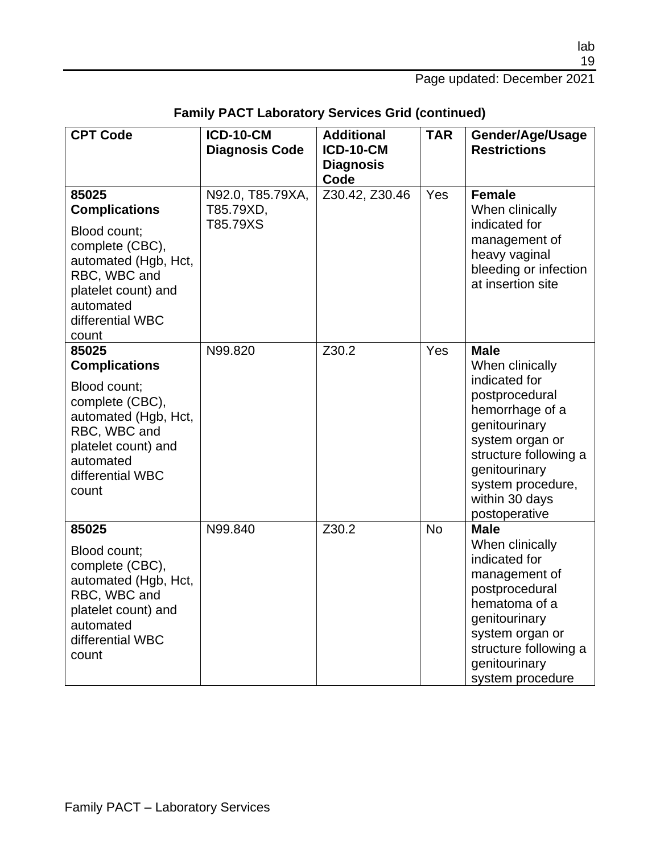| <b>CPT Code</b>                                                                                                                                                           | <b>ICD-10-CM</b><br><b>Diagnosis Code</b> | <b>Additional</b><br><b>ICD-10-CM</b><br><b>Diagnosis</b><br>Code | <b>TAR</b> | Gender/Age/Usage<br><b>Restrictions</b>                                                                                                                                                  |
|---------------------------------------------------------------------------------------------------------------------------------------------------------------------------|-------------------------------------------|-------------------------------------------------------------------|------------|------------------------------------------------------------------------------------------------------------------------------------------------------------------------------------------|
| 85025<br><b>Complications</b><br>Blood count:<br>complete (CBC),<br>automated (Hgb, Hct,<br>RBC, WBC and<br>platelet count) and<br>automated<br>differential WBC<br>count | N92.0, T85.79XA,<br>T85.79XD,<br>T85.79XS | Z30.42, Z30.46                                                    | Yes        | <b>Female</b><br>When clinically<br>indicated for<br>management of<br>heavy vaginal<br>bleeding or infection<br>at insertion site                                                        |
| 85025<br><b>Complications</b>                                                                                                                                             | N99.820                                   | Z30.2                                                             | Yes        | <b>Male</b><br>When clinically                                                                                                                                                           |
| Blood count:<br>complete (CBC),<br>automated (Hgb, Hct,<br>RBC, WBC and<br>platelet count) and<br>automated<br>differential WBC<br>count                                  |                                           |                                                                   |            | indicated for<br>postprocedural<br>hemorrhage of a<br>genitourinary<br>system organ or<br>structure following a<br>genitourinary<br>system procedure,<br>within 30 days<br>postoperative |
| 85025<br>Blood count;<br>complete (CBC),<br>automated (Hgb, Hct,<br>RBC, WBC and<br>platelet count) and<br>automated<br>differential WBC<br>count                         | N99.840                                   | Z30.2                                                             | <b>No</b>  | <b>Male</b><br>When clinically<br>indicated for<br>management of<br>postprocedural<br>hematoma of a<br>genitourinary<br>system organ or<br>structure following a<br>genitourinary        |
|                                                                                                                                                                           |                                           |                                                                   |            | system procedure                                                                                                                                                                         |

| <b>Family PACT Laboratory Services Grid (continued)</b> |  |  |
|---------------------------------------------------------|--|--|
|---------------------------------------------------------|--|--|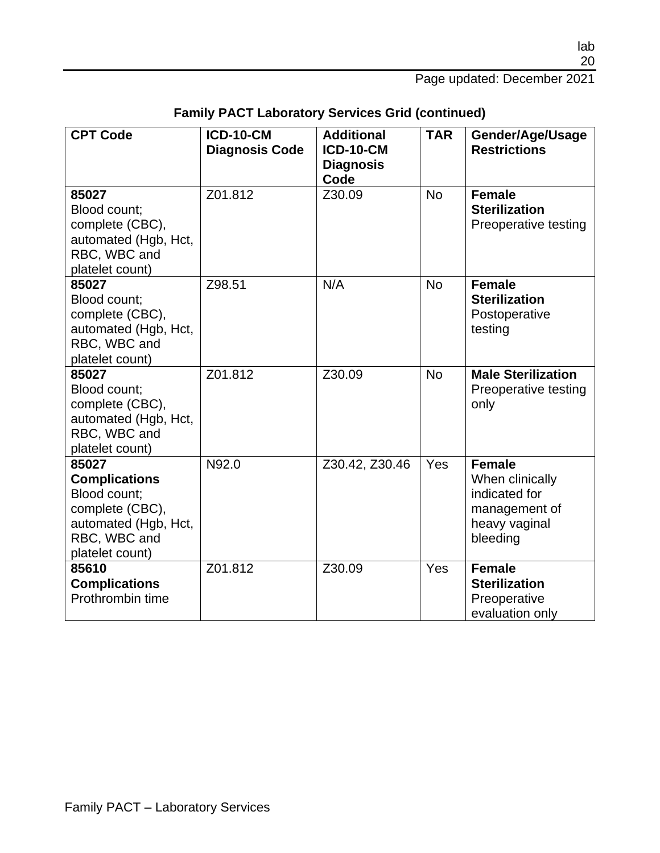| <b>CPT Code</b>                                                                                                             | ICD-10-CM<br><b>Diagnosis Code</b> | <b>Additional</b><br><b>ICD-10-CM</b><br><b>Diagnosis</b><br>Code | <b>TAR</b> | Gender/Age/Usage<br><b>Restrictions</b>                                                         |
|-----------------------------------------------------------------------------------------------------------------------------|------------------------------------|-------------------------------------------------------------------|------------|-------------------------------------------------------------------------------------------------|
| 85027<br>Blood count;<br>complete (CBC),<br>automated (Hgb, Hct,<br>RBC, WBC and<br>platelet count)                         | Z01.812                            | Z30.09                                                            | <b>No</b>  | <b>Female</b><br><b>Sterilization</b><br>Preoperative testing                                   |
| 85027<br>Blood count;<br>complete (CBC),<br>automated (Hgb, Hct,<br>RBC, WBC and<br>platelet count)                         | Z98.51                             | N/A                                                               | <b>No</b>  | <b>Female</b><br><b>Sterilization</b><br>Postoperative<br>testing                               |
| 85027<br>Blood count:<br>complete (CBC),<br>automated (Hgb, Hct,<br>RBC, WBC and<br>platelet count)                         | Z01.812                            | Z30.09                                                            | <b>No</b>  | <b>Male Sterilization</b><br>Preoperative testing<br>only                                       |
| 85027<br><b>Complications</b><br>Blood count:<br>complete (CBC),<br>automated (Hgb, Hct,<br>RBC, WBC and<br>platelet count) | N92.0                              | Z30.42, Z30.46                                                    | Yes        | <b>Female</b><br>When clinically<br>indicated for<br>management of<br>heavy vaginal<br>bleeding |
| 85610<br><b>Complications</b><br>Prothrombin time                                                                           | Z01.812                            | Z30.09                                                            | Yes        | <b>Female</b><br><b>Sterilization</b><br>Preoperative<br>evaluation only                        |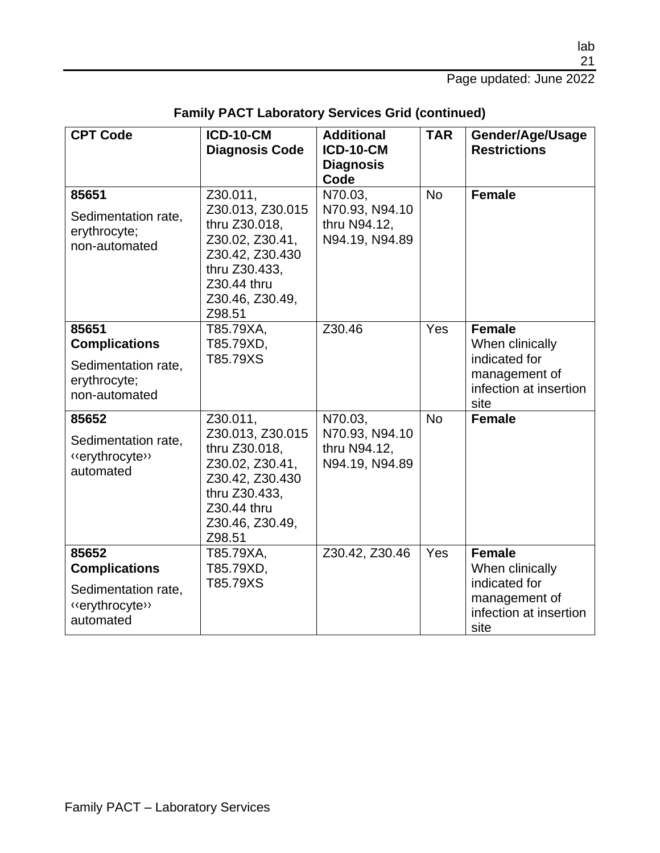Page updated: June 2022

| <b>CPT Code</b>                                                                    | <b>ICD-10-CM</b><br><b>Diagnosis Code</b>                                                                                                        | <b>Additional</b><br><b>ICD-10-CM</b><br><b>Diagnosis</b><br>Code | <b>TAR</b> | Gender/Age/Usage<br><b>Restrictions</b>                                                              |
|------------------------------------------------------------------------------------|--------------------------------------------------------------------------------------------------------------------------------------------------|-------------------------------------------------------------------|------------|------------------------------------------------------------------------------------------------------|
| 85651<br>Sedimentation rate,<br>erythrocyte;<br>non-automated                      | Z30.011,<br>Z30.013, Z30.015<br>thru Z30.018,<br>Z30.02, Z30.41,<br>Z30.42, Z30.430<br>thru Z30.433,<br>Z30.44 thru<br>Z30.46, Z30.49,<br>Z98.51 | N70.03,<br>N70.93, N94.10<br>thru N94.12,<br>N94.19, N94.89       | <b>No</b>  | Female                                                                                               |
| 85651<br><b>Complications</b>                                                      | T85.79XA,<br>T85.79XD,                                                                                                                           | Z30.46                                                            | Yes        | <b>Female</b><br>When clinically                                                                     |
| Sedimentation rate,<br>erythrocyte;<br>non-automated                               | T85.79XS                                                                                                                                         |                                                                   |            | indicated for<br>management of<br>infection at insertion<br>site                                     |
| 85652<br>Sedimentation rate,<br>«erythrocyte»<br>automated                         | Z30.011,<br>Z30.013, Z30.015<br>thru Z30.018,<br>Z30.02, Z30.41,<br>Z30.42, Z30.430<br>thru Z30.433,<br>Z30.44 thru<br>Z30.46, Z30.49,<br>Z98.51 | N70.03,<br>N70.93, N94.10<br>thru N94.12,<br>N94.19, N94.89       | <b>No</b>  | <b>Female</b>                                                                                        |
| 85652<br><b>Complications</b><br>Sedimentation rate,<br>«erythrocyte»<br>automated | T85.79XA,<br>T85.79XD,<br>T85.79XS                                                                                                               | Z30.42, Z30.46                                                    | Yes        | <b>Female</b><br>When clinically<br>indicated for<br>management of<br>infection at insertion<br>site |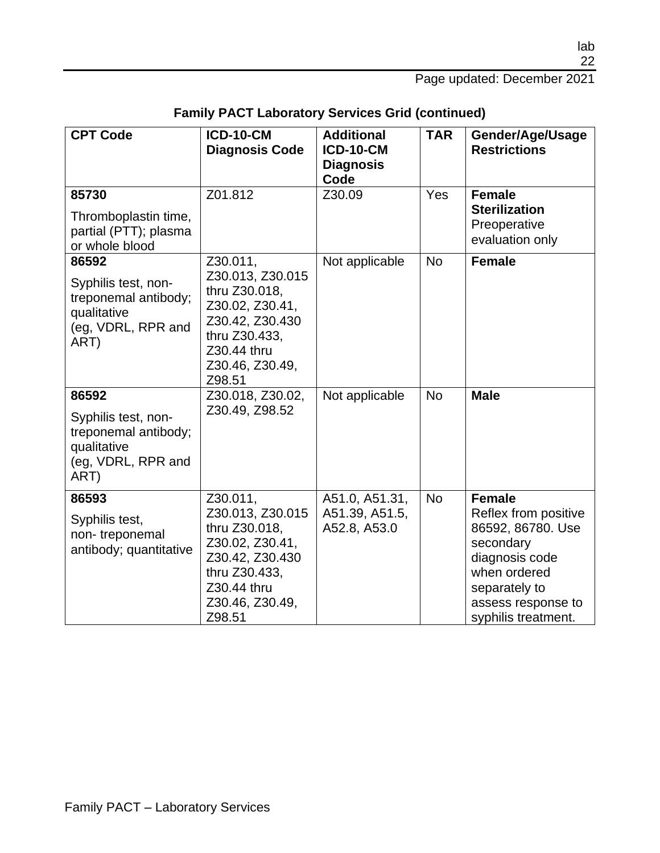| <b>CPT Code</b>                                                                                   | <b>ICD-10-CM</b><br><b>Diagnosis Code</b>                                                                                                        | <b>Additional</b><br><b>ICD-10-CM</b><br><b>Diagnosis</b><br>Code | <b>TAR</b> | Gender/Age/Usage<br><b>Restrictions</b>                                                                                                                                 |
|---------------------------------------------------------------------------------------------------|--------------------------------------------------------------------------------------------------------------------------------------------------|-------------------------------------------------------------------|------------|-------------------------------------------------------------------------------------------------------------------------------------------------------------------------|
| 85730<br>Thromboplastin time,<br>partial (PTT); plasma<br>or whole blood                          | Z01.812                                                                                                                                          | Z30.09                                                            | Yes        | <b>Female</b><br><b>Sterilization</b><br>Preoperative<br>evaluation only                                                                                                |
| 86592<br>Syphilis test, non-<br>treponemal antibody;<br>qualitative<br>(eg, VDRL, RPR and<br>ART) | Z30.011,<br>Z30.013, Z30.015<br>thru Z30.018,<br>Z30.02, Z30.41,<br>Z30.42, Z30.430<br>thru Z30.433,<br>Z30.44 thru<br>Z30.46, Z30.49,<br>Z98.51 | Not applicable                                                    | <b>No</b>  | <b>Female</b>                                                                                                                                                           |
| 86592<br>Syphilis test, non-<br>treponemal antibody;<br>qualitative<br>(eg, VDRL, RPR and<br>ART) | Z30.018, Z30.02,<br>Z30.49, Z98.52                                                                                                               | Not applicable                                                    | <b>No</b>  | <b>Male</b>                                                                                                                                                             |
| 86593<br>Syphilis test,<br>non-treponemal<br>antibody; quantitative                               | Z30.011,<br>Z30.013, Z30.015<br>thru Z30.018,<br>Z30.02, Z30.41,<br>Z30.42, Z30.430<br>thru Z30.433,<br>Z30.44 thru<br>Z30.46, Z30.49,<br>Z98.51 | A51.0, A51.31,<br>A51.39, A51.5,<br>A52.8, A53.0                  | <b>No</b>  | <b>Female</b><br>Reflex from positive<br>86592, 86780. Use<br>secondary<br>diagnosis code<br>when ordered<br>separately to<br>assess response to<br>syphilis treatment. |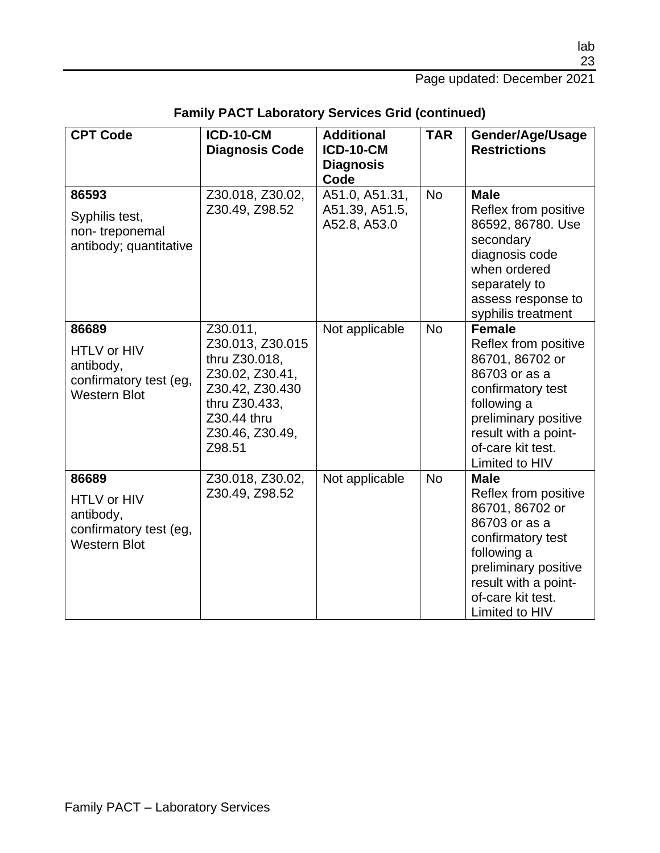23

lab

Page updated: December 2021

| <b>CPT Code</b>                                                                    | <b>ICD-10-CM</b><br><b>Diagnosis Code</b>                                                                                                        | <b>Additional</b><br><b>ICD-10-CM</b><br><b>Diagnosis</b><br>Code | <b>TAR</b> | Gender/Age/Usage<br><b>Restrictions</b>                                                                                                                                                              |
|------------------------------------------------------------------------------------|--------------------------------------------------------------------------------------------------------------------------------------------------|-------------------------------------------------------------------|------------|------------------------------------------------------------------------------------------------------------------------------------------------------------------------------------------------------|
| 86593<br>Syphilis test,<br>non-treponemal<br>antibody; quantitative                | Z30.018, Z30.02,<br>Z30.49, Z98.52                                                                                                               | A51.0, A51.31,<br>A51.39, A51.5,<br>A52.8, A53.0                  | <b>No</b>  | <b>Male</b><br>Reflex from positive<br>86592, 86780. Use<br>secondary<br>diagnosis code<br>when ordered<br>separately to<br>assess response to<br>syphilis treatment                                 |
| 86689<br>HTLV or HIV<br>antibody,<br>confirmatory test (eg,<br><b>Western Blot</b> | Z30.011,<br>Z30.013, Z30.015<br>thru Z30.018,<br>Z30.02, Z30.41,<br>Z30.42, Z30.430<br>thru Z30.433,<br>Z30.44 thru<br>Z30.46, Z30.49,<br>Z98.51 | Not applicable                                                    | <b>No</b>  | <b>Female</b><br>Reflex from positive<br>86701, 86702 or<br>86703 or as a<br>confirmatory test<br>following a<br>preliminary positive<br>result with a point-<br>of-care kit test.<br>Limited to HIV |
| 86689<br>HTLV or HIV<br>antibody,<br>confirmatory test (eg,<br><b>Western Blot</b> | Z30.018, Z30.02,<br>Z30.49, Z98.52                                                                                                               | Not applicable                                                    | <b>No</b>  | <b>Male</b><br>Reflex from positive<br>86701, 86702 or<br>86703 or as a<br>confirmatory test<br>following a<br>preliminary positive<br>result with a point-<br>of-care kit test.<br>Limited to HIV   |

| <b>Family PACT Laboratory Services Grid (continued)</b> |  |  |  |  |
|---------------------------------------------------------|--|--|--|--|
|---------------------------------------------------------|--|--|--|--|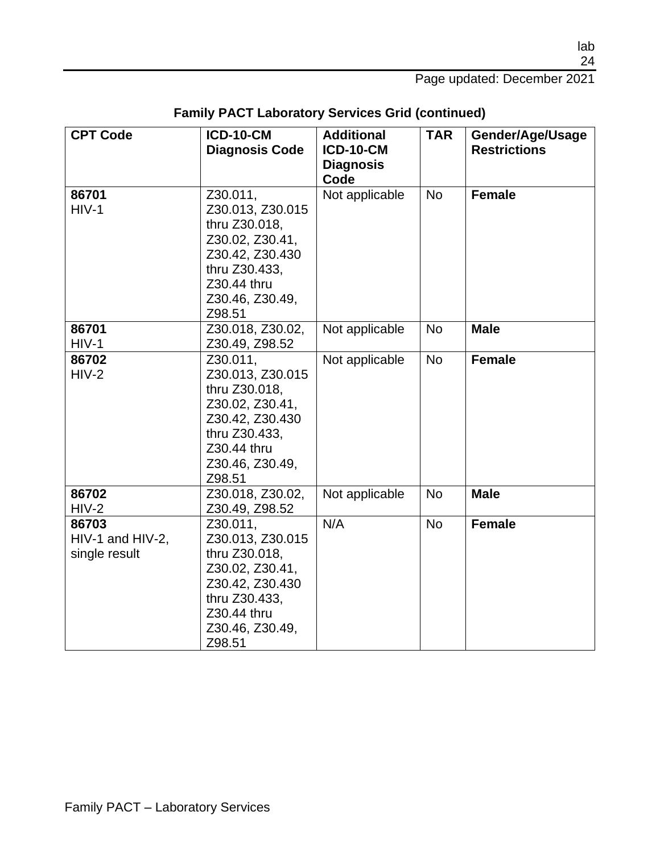| <b>CPT Code</b>  | <b>ICD-10-CM</b><br><b>Diagnosis Code</b> | <b>Additional</b><br><b>ICD-10-CM</b><br><b>Diagnosis</b> | <b>TAR</b> | Gender/Age/Usage<br><b>Restrictions</b> |
|------------------|-------------------------------------------|-----------------------------------------------------------|------------|-----------------------------------------|
|                  |                                           | Code                                                      |            |                                         |
| 86701            | Z30.011,                                  | Not applicable                                            | <b>No</b>  | <b>Female</b>                           |
| $HIV-1$          | Z30.013, Z30.015                          |                                                           |            |                                         |
|                  | thru Z30.018,                             |                                                           |            |                                         |
|                  | Z30.02, Z30.41,                           |                                                           |            |                                         |
|                  | Z30.42, Z30.430                           |                                                           |            |                                         |
|                  | thru Z30.433,<br>Z30.44 thru              |                                                           |            |                                         |
|                  | Z30.46, Z30.49,                           |                                                           |            |                                         |
|                  | Z98.51                                    |                                                           |            |                                         |
| 86701            | Z30.018, Z30.02,                          | Not applicable                                            | <b>No</b>  | <b>Male</b>                             |
| $HIV-1$          | Z30.49, Z98.52                            |                                                           |            |                                         |
| 86702            | Z30.011,                                  | Not applicable                                            | No         | <b>Female</b>                           |
| $HIV-2$          | Z30.013, Z30.015                          |                                                           |            |                                         |
|                  | thru Z30.018,                             |                                                           |            |                                         |
|                  | Z30.02, Z30.41,                           |                                                           |            |                                         |
|                  | Z30.42, Z30.430                           |                                                           |            |                                         |
|                  | thru Z30.433,                             |                                                           |            |                                         |
|                  | Z30.44 thru                               |                                                           |            |                                         |
|                  | Z30.46, Z30.49,                           |                                                           |            |                                         |
|                  | Z98.51                                    |                                                           |            |                                         |
| 86702<br>$HIV-2$ | Z30.018, Z30.02,                          | Not applicable                                            | <b>No</b>  | <b>Male</b>                             |
| 86703            | Z30.49, Z98.52<br>Z30.011,                | N/A                                                       | <b>No</b>  | <b>Female</b>                           |
| HIV-1 and HIV-2, | Z30.013, Z30.015                          |                                                           |            |                                         |
| single result    | thru Z30.018,                             |                                                           |            |                                         |
|                  | Z30.02, Z30.41,                           |                                                           |            |                                         |
|                  | Z30.42, Z30.430                           |                                                           |            |                                         |
|                  | thru Z30.433,                             |                                                           |            |                                         |
|                  | Z30.44 thru                               |                                                           |            |                                         |
|                  | Z30.46, Z30.49,                           |                                                           |            |                                         |
|                  | Z98.51                                    |                                                           |            |                                         |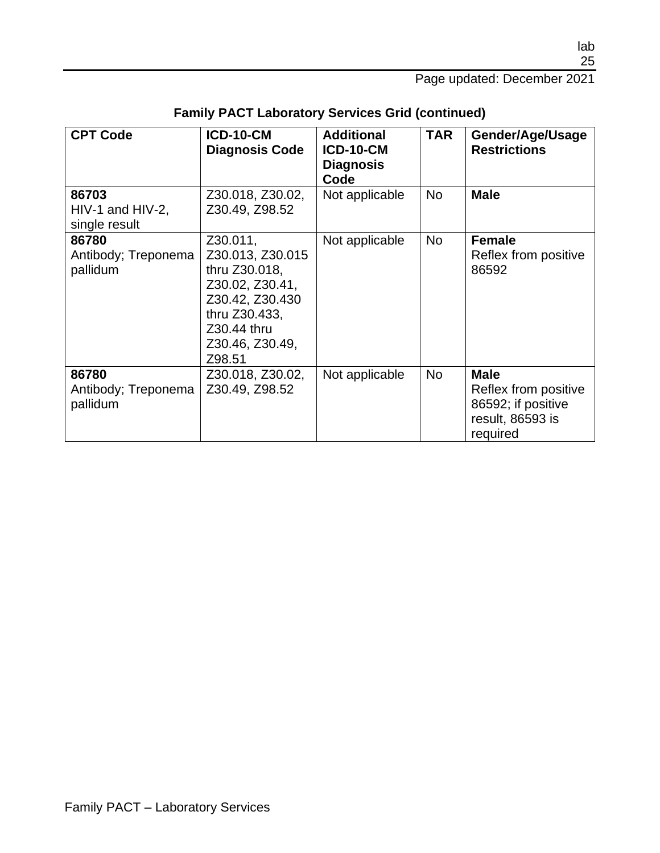| <b>CPT Code</b>                                 | <b>ICD-10-CM</b><br><b>Diagnosis Code</b>                                                                                                        | <b>Additional</b><br><b>ICD-10-CM</b><br><b>Diagnosis</b><br>Code | <b>TAR</b> | Gender/Age/Usage<br><b>Restrictions</b>                                                   |
|-------------------------------------------------|--------------------------------------------------------------------------------------------------------------------------------------------------|-------------------------------------------------------------------|------------|-------------------------------------------------------------------------------------------|
| 86703<br>$HIV-1$ and $HIV-2$ ,<br>single result | Z30.018, Z30.02,<br>Z30.49, Z98.52                                                                                                               | Not applicable                                                    | <b>No</b>  | <b>Male</b>                                                                               |
| 86780<br>Antibody; Treponema<br>pallidum        | Z30.011,<br>Z30.013, Z30.015<br>thru Z30.018,<br>Z30.02, Z30.41,<br>Z30.42, Z30.430<br>thru Z30.433,<br>Z30.44 thru<br>Z30.46, Z30.49,<br>Z98.51 | Not applicable                                                    | <b>No</b>  | <b>Female</b><br>Reflex from positive<br>86592                                            |
| 86780<br>Antibody; Treponema<br>pallidum        | Z30.018, Z30.02,<br>Z30.49, Z98.52                                                                                                               | Not applicable                                                    | <b>No</b>  | <b>Male</b><br>Reflex from positive<br>86592; if positive<br>result, 86593 is<br>required |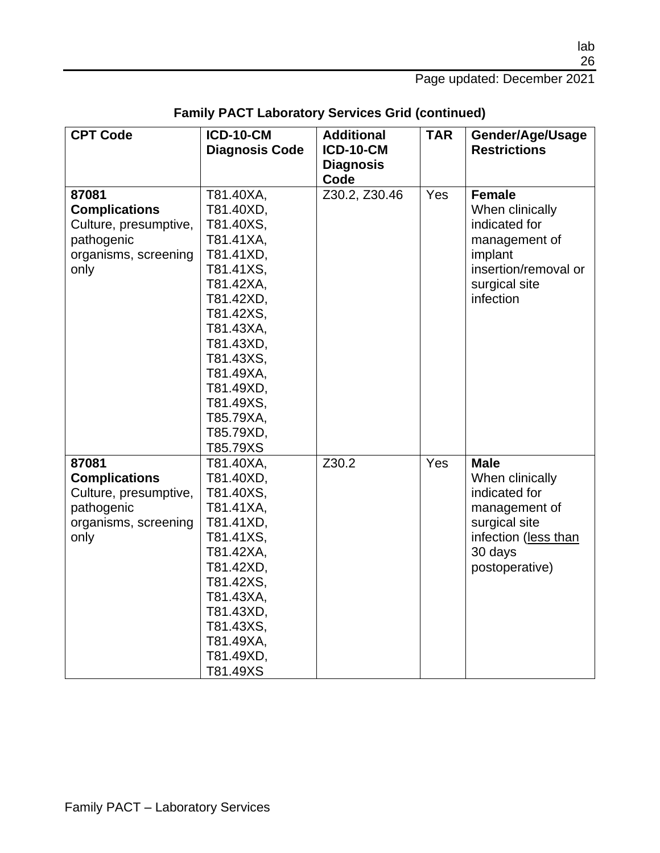Page updated: December 2021

| <b>CPT Code</b>       | <b>ICD-10-CM</b>      | <b>Additional</b> | <b>TAR</b> | Gender/Age/Usage     |
|-----------------------|-----------------------|-------------------|------------|----------------------|
|                       | <b>Diagnosis Code</b> | <b>ICD-10-CM</b>  |            | <b>Restrictions</b>  |
|                       |                       | <b>Diagnosis</b>  |            |                      |
|                       |                       | Code              |            |                      |
| 87081                 | T81.40XA,             | Z30.2, Z30.46     | Yes        | <b>Female</b>        |
| <b>Complications</b>  | T81.40XD,             |                   |            | When clinically      |
| Culture, presumptive, | T81.40XS,             |                   |            | indicated for        |
| pathogenic            | T81.41XA,             |                   |            | management of        |
| organisms, screening  | T81.41XD,             |                   |            | implant              |
| only                  | T81.41XS,             |                   |            | insertion/removal or |
|                       | T81.42XA,             |                   |            | surgical site        |
|                       | T81.42XD,             |                   |            | infection            |
|                       | T81.42XS,             |                   |            |                      |
|                       | T81.43XA,             |                   |            |                      |
|                       | T81.43XD,             |                   |            |                      |
|                       | T81.43XS,             |                   |            |                      |
|                       | T81.49XA,             |                   |            |                      |
|                       | T81.49XD,             |                   |            |                      |
|                       | T81.49XS,             |                   |            |                      |
|                       | T85.79XA,             |                   |            |                      |
|                       | T85.79XD,             |                   |            |                      |
|                       | T85.79XS              |                   |            |                      |
| 87081                 | T81.40XA,             | Z30.2             | Yes        | <b>Male</b>          |
| <b>Complications</b>  | T81.40XD,             |                   |            | When clinically      |
| Culture, presumptive, | T81.40XS,             |                   |            | indicated for        |
| pathogenic            | T81.41XA,             |                   |            | management of        |
| organisms, screening  | T81.41XD,             |                   |            | surgical site        |
| only                  | T81.41XS,             |                   |            | infection (less than |
|                       | T81.42XA,             |                   |            | 30 days              |
|                       | T81.42XD,             |                   |            | postoperative)       |
|                       | T81.42XS,             |                   |            |                      |
|                       | T81.43XA,             |                   |            |                      |
|                       | T81.43XD,             |                   |            |                      |
|                       | T81.43XS,             |                   |            |                      |
|                       | T81.49XA,             |                   |            |                      |
|                       | T81.49XD,             |                   |            |                      |
|                       | T81.49XS              |                   |            |                      |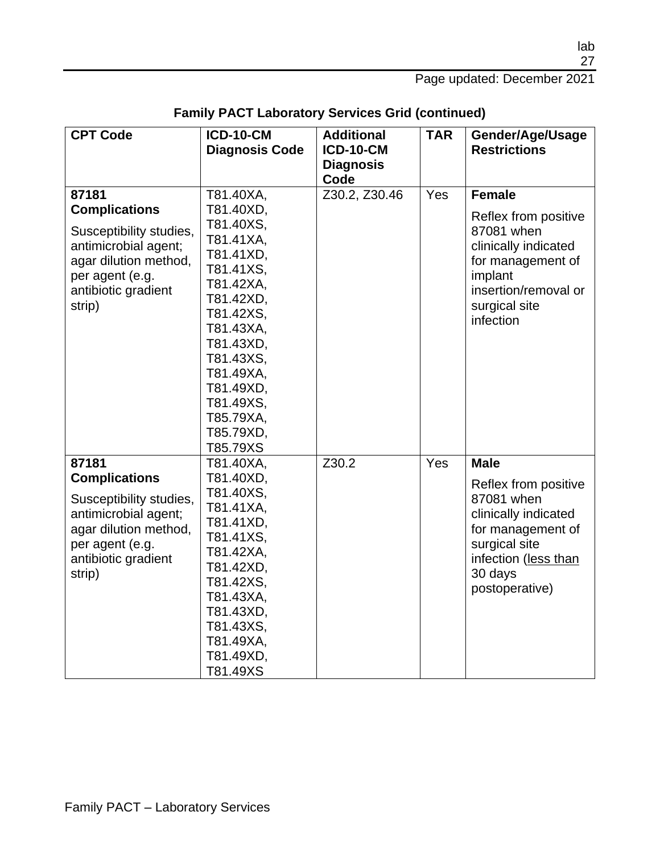Page updated: December 2021

| <b>CPT Code</b>                                                                                                              | <b>ICD-10-CM</b>                                                                                                                                                                                | <b>Additional</b> | <b>TAR</b> | Gender/Age/Usage                                                                                                                                      |
|------------------------------------------------------------------------------------------------------------------------------|-------------------------------------------------------------------------------------------------------------------------------------------------------------------------------------------------|-------------------|------------|-------------------------------------------------------------------------------------------------------------------------------------------------------|
|                                                                                                                              | <b>Diagnosis Code</b>                                                                                                                                                                           | <b>ICD-10-CM</b>  |            | <b>Restrictions</b>                                                                                                                                   |
|                                                                                                                              |                                                                                                                                                                                                 | <b>Diagnosis</b>  |            |                                                                                                                                                       |
|                                                                                                                              |                                                                                                                                                                                                 | Code              |            |                                                                                                                                                       |
| 87181                                                                                                                        | T81.40XA,                                                                                                                                                                                       | Z30.2, Z30.46     | Yes        | <b>Female</b>                                                                                                                                         |
| <b>Complications</b>                                                                                                         | T81.40XD,                                                                                                                                                                                       |                   |            | Reflex from positive                                                                                                                                  |
| Susceptibility studies,<br>antimicrobial agent;<br>agar dilution method,<br>per agent (e.g.<br>antibiotic gradient<br>strip) | T81.40XS,<br>T81.41XA,<br>T81.41XD,<br>T81.41XS,<br>T81.42XA,<br>T81.42XD,<br>T81.42XS,<br>T81.43XA,<br>T81.43XD,<br>T81.43XS,<br>T81.49XA,<br>T81.49XD,<br>T81.49XS,<br>T85.79XA,<br>T85.79XD, |                   |            | 87081 when<br>clinically indicated<br>for management of<br>implant<br>insertion/removal or<br>surgical site<br>infection                              |
| 87181                                                                                                                        | T85.79XS<br>T81.40XA,                                                                                                                                                                           | Z30.2             | Yes        | <b>Male</b>                                                                                                                                           |
| <b>Complications</b>                                                                                                         | T81.40XD,                                                                                                                                                                                       |                   |            |                                                                                                                                                       |
| Susceptibility studies,<br>antimicrobial agent;<br>agar dilution method,<br>per agent (e.g.<br>antibiotic gradient<br>strip) | T81.40XS,<br>T81.41XA,<br>T81.41XD,<br>T81.41XS,<br>T81.42XA,<br>T81.42XD,<br>T81.42XS,<br>T81.43XA,<br>T81.43XD,<br>T81.43XS,<br>T81.49XA,<br>T81.49XD,<br>T81.49XS                            |                   |            | Reflex from positive<br>87081 when<br>clinically indicated<br>for management of<br>surgical site<br>infection (less than<br>30 days<br>postoperative) |

| <b>Family PACT Laboratory Services Grid (continued)</b> |  |  |
|---------------------------------------------------------|--|--|
|---------------------------------------------------------|--|--|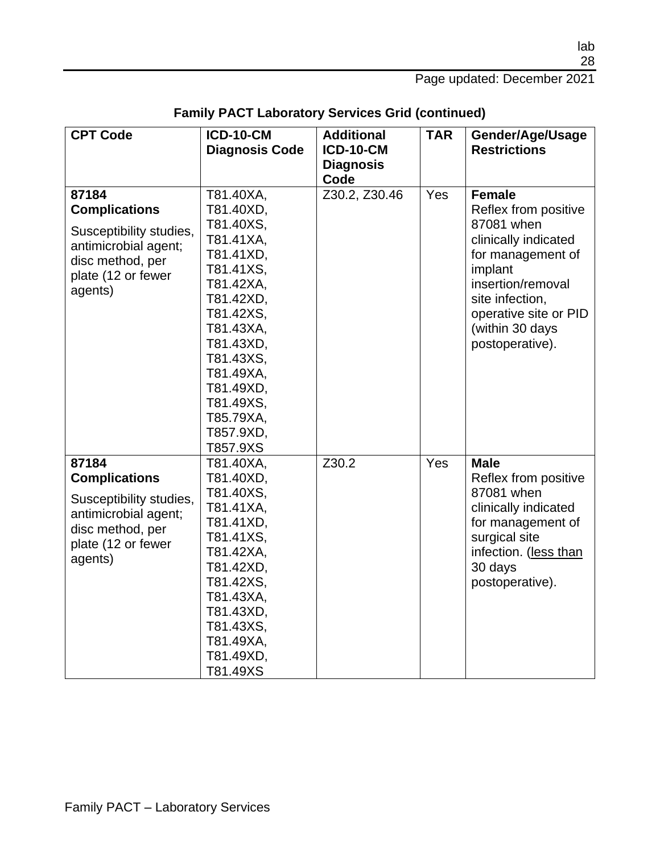Page updated: December 2021

| <b>CPT Code</b>         | <b>ICD-10-CM</b>      | <b>Additional</b> | <b>TAR</b> | Gender/Age/Usage      |
|-------------------------|-----------------------|-------------------|------------|-----------------------|
|                         | <b>Diagnosis Code</b> | <b>ICD-10-CM</b>  |            | <b>Restrictions</b>   |
|                         |                       | <b>Diagnosis</b>  |            |                       |
|                         |                       | Code              |            |                       |
| 87184                   | T81.40XA,             | Z30.2, Z30.46     | Yes        | <b>Female</b>         |
| <b>Complications</b>    | T81.40XD,             |                   |            | Reflex from positive  |
| Susceptibility studies, | T81.40XS,             |                   |            | 87081 when            |
| antimicrobial agent;    | T81.41XA,             |                   |            | clinically indicated  |
| disc method, per        | T81.41XD,             |                   |            | for management of     |
| plate (12 or fewer      | T81.41XS,             |                   |            | implant               |
| agents)                 | T81.42XA,             |                   |            | insertion/removal     |
|                         | T81.42XD,             |                   |            | site infection,       |
|                         | T81.42XS,             |                   |            | operative site or PID |
|                         | T81.43XA,             |                   |            | (within 30 days       |
|                         | T81.43XD,             |                   |            | postoperative).       |
|                         | T81.43XS,             |                   |            |                       |
|                         | T81.49XA,             |                   |            |                       |
|                         | T81.49XD,             |                   |            |                       |
|                         | T81.49XS,             |                   |            |                       |
|                         | T85.79XA,             |                   |            |                       |
|                         | T857.9XD,             |                   |            |                       |
|                         | T857.9XS              |                   |            |                       |
| 87184                   | T81.40XA,             | Z30.2             | Yes        | <b>Male</b>           |
| <b>Complications</b>    | T81.40XD,             |                   |            | Reflex from positive  |
| Susceptibility studies, | T81.40XS,             |                   |            | 87081 when            |
| antimicrobial agent;    | T81.41XA,             |                   |            | clinically indicated  |
| disc method, per        | T81.41XD,             |                   |            | for management of     |
| plate (12 or fewer      | T81.41XS,             |                   |            | surgical site         |
| agents)                 | T81.42XA,             |                   |            | infection. (less than |
|                         | T81.42XD,             |                   |            | 30 days               |
|                         | T81.42XS,             |                   |            | postoperative).       |
|                         | T81.43XA,             |                   |            |                       |
|                         | T81.43XD,             |                   |            |                       |
|                         | T81.43XS,             |                   |            |                       |
|                         | T81.49XA,             |                   |            |                       |
|                         | T81.49XD,             |                   |            |                       |
|                         | T81.49XS              |                   |            |                       |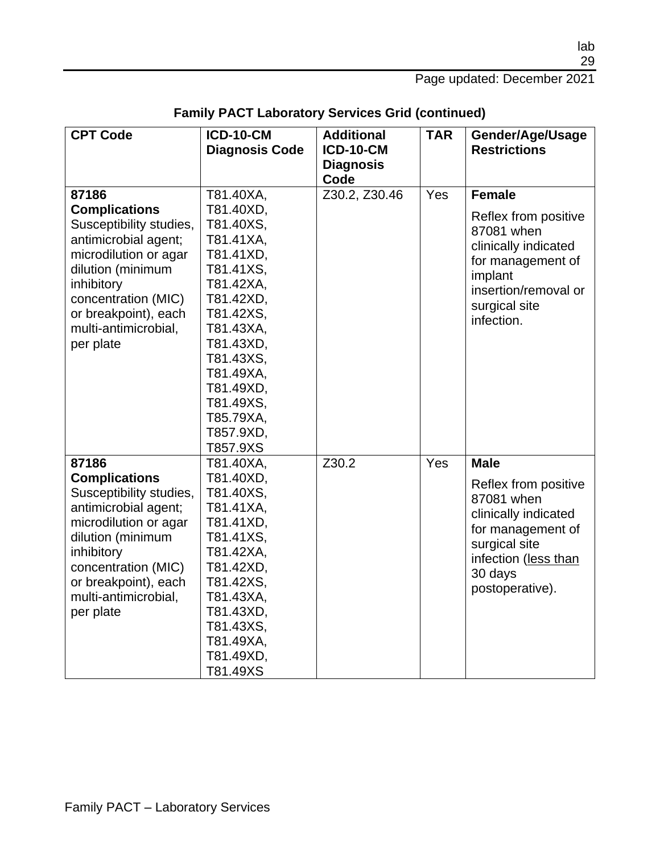| <b>CPT Code</b>         | <b>ICD-10-CM</b>      | <b>Additional</b> | <b>TAR</b> | Gender/Age/Usage     |
|-------------------------|-----------------------|-------------------|------------|----------------------|
|                         | <b>Diagnosis Code</b> | <b>ICD-10-CM</b>  |            | <b>Restrictions</b>  |
|                         |                       | <b>Diagnosis</b>  |            |                      |
|                         |                       | Code              |            |                      |
| 87186                   | T81.40XA,             | Z30.2, Z30.46     | Yes        | <b>Female</b>        |
| <b>Complications</b>    | T81.40XD,             |                   |            | Reflex from positive |
| Susceptibility studies, | T81.40XS,             |                   |            | 87081 when           |
| antimicrobial agent;    | T81.41XA,             |                   |            | clinically indicated |
| microdilution or agar   | T81.41XD,             |                   |            | for management of    |
| dilution (minimum       | T81.41XS,             |                   |            | implant              |
| inhibitory              | T81.42XA,             |                   |            | insertion/removal or |
| concentration (MIC)     | T81.42XD,             |                   |            | surgical site        |
| or breakpoint), each    | T81.42XS,             |                   |            | infection.           |
| multi-antimicrobial,    | T81.43XA,             |                   |            |                      |
| per plate               | T81.43XD,             |                   |            |                      |
|                         | T81.43XS,             |                   |            |                      |
|                         | T81.49XA,             |                   |            |                      |
|                         | T81.49XD,             |                   |            |                      |
|                         | T81.49XS,             |                   |            |                      |
|                         | T85.79XA,             |                   |            |                      |
|                         | T857.9XD,             |                   |            |                      |
|                         | T857.9XS              |                   |            |                      |
| 87186                   | T81.40XA,             | Z30.2             | Yes        | <b>Male</b>          |
| <b>Complications</b>    | T81.40XD,             |                   |            | Reflex from positive |
| Susceptibility studies, | T81.40XS,             |                   |            | 87081 when           |
| antimicrobial agent;    | T81.41XA,             |                   |            | clinically indicated |
| microdilution or agar   | T81.41XD,             |                   |            | for management of    |
| dilution (minimum       | T81.41XS,             |                   |            | surgical site        |
| inhibitory              | T81.42XA,             |                   |            | infection (less than |
| concentration (MIC)     | T81.42XD,             |                   |            | 30 days              |
| or breakpoint), each    | T81.42XS,             |                   |            | postoperative).      |
| multi-antimicrobial,    | T81.43XA,             |                   |            |                      |
| per plate               | T81.43XD,             |                   |            |                      |
|                         | T81.43XS,             |                   |            |                      |
|                         | T81.49XA,             |                   |            |                      |
|                         | T81.49XD,             |                   |            |                      |
|                         | T81.49XS              |                   |            |                      |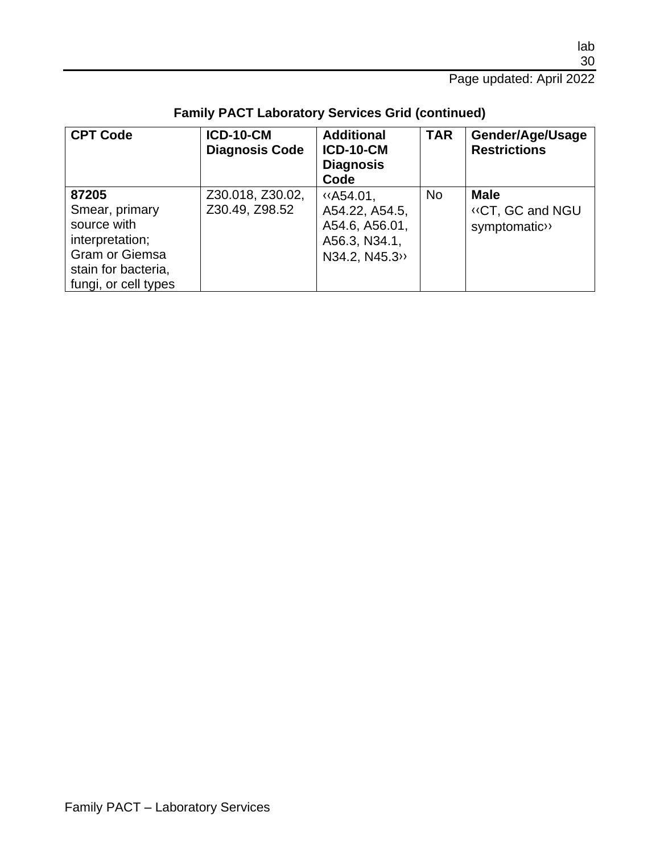| <b>CPT Code</b>                                                                                                                   | <b>ICD-10-CM</b><br><b>Diagnosis Code</b> | <b>Additional</b><br><b>ICD-10-CM</b><br><b>Diagnosis</b><br>Code                                       | <b>TAR</b> | Gender/Age/Usage<br><b>Restrictions</b>         |
|-----------------------------------------------------------------------------------------------------------------------------------|-------------------------------------------|---------------------------------------------------------------------------------------------------------|------------|-------------------------------------------------|
| 87205<br>Smear, primary<br>source with<br>interpretation;<br><b>Gram or Giemsa</b><br>stain for bacteria,<br>fungi, or cell types | Z30.018, Z30.02,<br>Z30.49, Z98.52        | $\langle \langle A54.01 \rangle$<br>A54.22, A54.5,<br>A54.6, A56.01,<br>A56.3, N34.1,<br>N34.2, N45.3>> | <b>No</b>  | <b>Male</b><br>«CT, GC and NGU<br>symptomatic>> |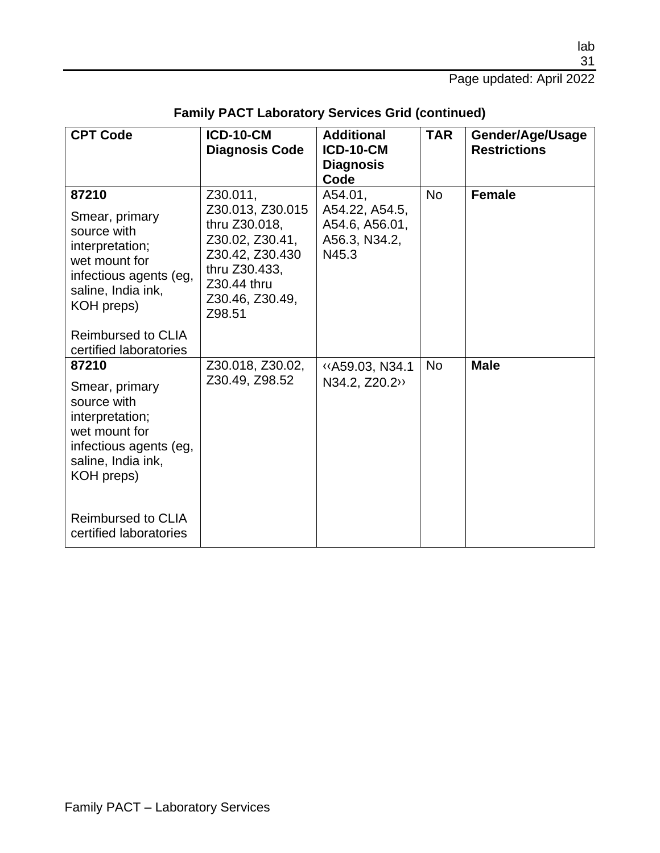| <b>CPT Code</b>                                                                                                                          | <b>ICD-10-CM</b><br><b>Diagnosis Code</b>                                                                                                        | <b>Additional</b><br><b>ICD-10-CM</b><br><b>Diagnosis</b><br>Code     | <b>TAR</b> | Gender/Age/Usage<br><b>Restrictions</b> |
|------------------------------------------------------------------------------------------------------------------------------------------|--------------------------------------------------------------------------------------------------------------------------------------------------|-----------------------------------------------------------------------|------------|-----------------------------------------|
| 87210<br>Smear, primary<br>source with<br>interpretation;<br>wet mount for<br>infectious agents (eg,<br>saline, India ink,<br>KOH preps) | Z30.011,<br>Z30.013, Z30.015<br>thru Z30.018,<br>Z30.02, Z30.41,<br>Z30.42, Z30.430<br>thru Z30.433,<br>Z30.44 thru<br>Z30.46, Z30.49,<br>Z98.51 | A54.01,<br>A54.22, A54.5,<br>A54.6, A56.01,<br>A56.3, N34.2,<br>N45.3 | <b>No</b>  | <b>Female</b>                           |
| Reimbursed to CLIA<br>certified laboratories                                                                                             |                                                                                                                                                  |                                                                       |            |                                         |
| 87210<br>Smear, primary<br>source with<br>interpretation;<br>wet mount for<br>infectious agents (eg,<br>saline, India ink,<br>KOH preps) | Z30.018, Z30.02,<br>Z30.49, Z98.52                                                                                                               | «A59.03, N34.1<br>N34.2, Z20.2>>                                      | <b>No</b>  | <b>Male</b>                             |
| <b>Reimbursed to CLIA</b><br>certified laboratories                                                                                      |                                                                                                                                                  |                                                                       |            |                                         |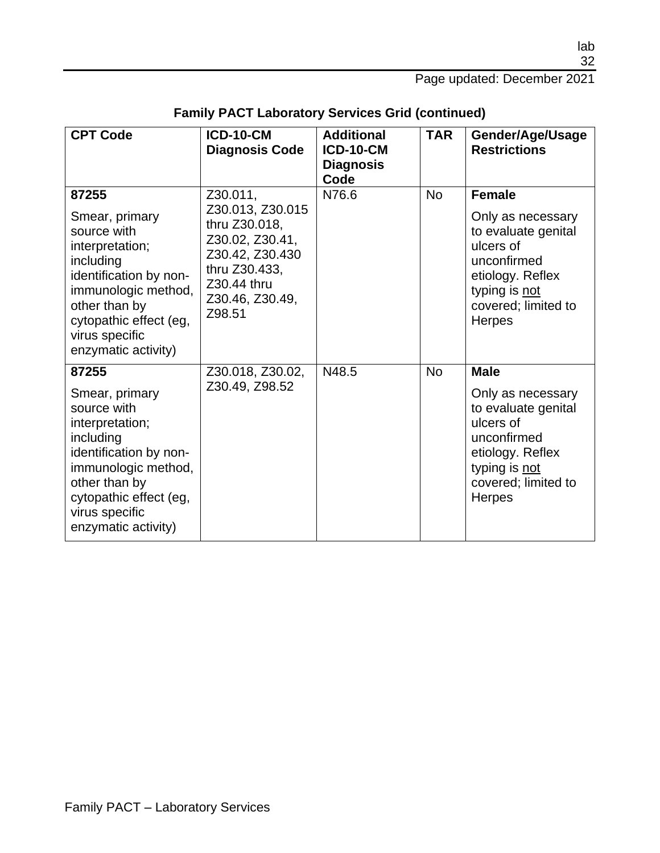| <b>CPT Code</b>                                                                                                                                                                                             | <b>ICD-10-CM</b><br><b>Diagnosis Code</b>                                                                                                        | <b>Additional</b><br><b>ICD-10-CM</b><br><b>Diagnosis</b><br>Code | <b>TAR</b> | Gender/Age/Usage<br><b>Restrictions</b>                                                                                                                            |
|-------------------------------------------------------------------------------------------------------------------------------------------------------------------------------------------------------------|--------------------------------------------------------------------------------------------------------------------------------------------------|-------------------------------------------------------------------|------------|--------------------------------------------------------------------------------------------------------------------------------------------------------------------|
| 87255<br>Smear, primary<br>source with<br>interpretation;<br>including<br>identification by non-<br>immunologic method,<br>other than by<br>cytopathic effect (eg,<br>virus specific<br>enzymatic activity) | Z30.011,<br>Z30.013, Z30.015<br>thru Z30.018,<br>Z30.02, Z30.41,<br>Z30.42, Z30.430<br>thru Z30.433,<br>Z30.44 thru<br>Z30.46, Z30.49,<br>Z98.51 | N76.6                                                             | <b>No</b>  | <b>Female</b><br>Only as necessary<br>to evaluate genital<br>ulcers of<br>unconfirmed<br>etiology. Reflex<br>typing is not<br>covered; limited to<br><b>Herpes</b> |
| 87255<br>Smear, primary<br>source with<br>interpretation;<br>including<br>identification by non-<br>immunologic method,<br>other than by<br>cytopathic effect (eg,<br>virus specific<br>enzymatic activity) | Z30.018, Z30.02,<br>Z30.49, Z98.52                                                                                                               | N48.5                                                             | <b>No</b>  | <b>Male</b><br>Only as necessary<br>to evaluate genital<br>ulcers of<br>unconfirmed<br>etiology. Reflex<br>typing is not<br>covered; limited to<br><b>Herpes</b>   |

| <b>Family PACT Laboratory Services Grid (continued)</b> |  |  |  |  |
|---------------------------------------------------------|--|--|--|--|
|---------------------------------------------------------|--|--|--|--|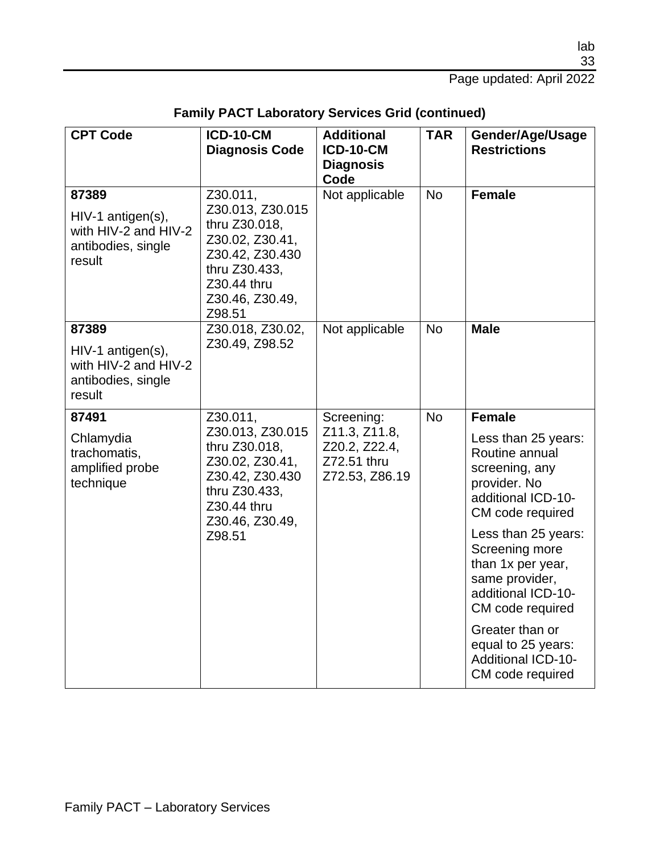| <b>CPT Code</b>                                                                    | <b>ICD-10-CM</b><br><b>Diagnosis Code</b>                                                                                                        | <b>Additional</b><br><b>ICD-10-CM</b><br><b>Diagnosis</b><br>Code             | <b>TAR</b> | Gender/Age/Usage<br><b>Restrictions</b>                                                                                                                                                                                                                                                                                                                |
|------------------------------------------------------------------------------------|--------------------------------------------------------------------------------------------------------------------------------------------------|-------------------------------------------------------------------------------|------------|--------------------------------------------------------------------------------------------------------------------------------------------------------------------------------------------------------------------------------------------------------------------------------------------------------------------------------------------------------|
| 87389<br>HIV-1 antigen(s),<br>with HIV-2 and HIV-2<br>antibodies, single<br>result | Z30.011,<br>Z30.013, Z30.015<br>thru Z30.018,<br>Z30.02, Z30.41,<br>Z30.42, Z30.430<br>thru Z30.433,<br>Z30.44 thru<br>Z30.46, Z30.49,<br>Z98.51 | Not applicable                                                                | <b>No</b>  | <b>Female</b>                                                                                                                                                                                                                                                                                                                                          |
| 87389<br>HIV-1 antigen(s),<br>with HIV-2 and HIV-2<br>antibodies, single<br>result | Z30.018, Z30.02,<br>Z30.49, Z98.52                                                                                                               | Not applicable                                                                | <b>No</b>  | <b>Male</b>                                                                                                                                                                                                                                                                                                                                            |
| 87491<br>Chlamydia<br>trachomatis,<br>amplified probe<br>technique                 | Z30.011,<br>Z30.013, Z30.015<br>thru Z30.018,<br>Z30.02, Z30.41,<br>Z30.42, Z30.430<br>thru Z30.433,<br>Z30.44 thru<br>Z30.46, Z30.49,<br>Z98.51 | Screening:<br>Z11.3, Z11.8,<br>Z20.2, Z22.4,<br>Z72.51 thru<br>Z72.53, Z86.19 | <b>No</b>  | <b>Female</b><br>Less than 25 years:<br>Routine annual<br>screening, any<br>provider. No<br>additional ICD-10-<br>CM code required<br>Less than 25 years:<br>Screening more<br>than 1x per year,<br>same provider,<br>additional ICD-10-<br>CM code required<br>Greater than or<br>equal to 25 years:<br><b>Additional ICD-10-</b><br>CM code required |

| <b>Family PACT Laboratory Services Grid (continued)</b> |  |  |  |  |
|---------------------------------------------------------|--|--|--|--|
|---------------------------------------------------------|--|--|--|--|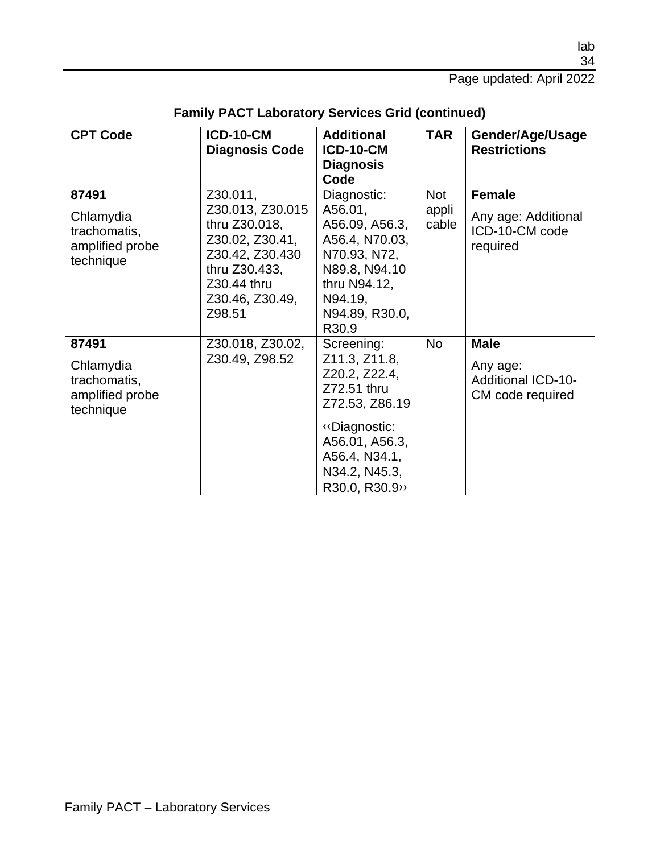Page updated: April 2022

| <b>CPT Code</b>                                                    | <b>ICD-10-CM</b><br><b>Diagnosis Code</b>                                                                                                        | <b>Additional</b><br><b>ICD-10-CM</b><br><b>Diagnosis</b><br>Code                                                                                                   | <b>TAR</b>                   | Gender/Age/Usage<br><b>Restrictions</b>                                  |
|--------------------------------------------------------------------|--------------------------------------------------------------------------------------------------------------------------------------------------|---------------------------------------------------------------------------------------------------------------------------------------------------------------------|------------------------------|--------------------------------------------------------------------------|
| 87491<br>Chlamydia<br>trachomatis,<br>amplified probe<br>technique | Z30.011,<br>Z30.013, Z30.015<br>thru Z30.018,<br>Z30.02, Z30.41,<br>Z30.42, Z30.430<br>thru Z30.433,<br>Z30.44 thru<br>Z30.46, Z30.49,<br>Z98.51 | Diagnostic:<br>A56.01,<br>A56.09, A56.3,<br>A56.4, N70.03,<br>N70.93, N72,<br>N89.8, N94.10<br>thru N94.12,<br>N94.19,<br>N94.89, R30.0,<br>R30.9                   | <b>Not</b><br>appli<br>cable | <b>Female</b><br>Any age: Additional<br>ICD-10-CM code<br>required       |
| 87491<br>Chlamydia<br>trachomatis,<br>amplified probe<br>technique | Z30.018, Z30.02,<br>Z30.49, Z98.52                                                                                                               | Screening:<br>Z11.3, Z11.8,<br>Z20.2, Z22.4,<br>Z72.51 thru<br>Z72.53, Z86.19<br>«Diagnostic:<br>A56.01, A56.3,<br>A56.4, N34.1,<br>N34.2, N45.3,<br>R30.0, R30.9>> | <b>No</b>                    | <b>Male</b><br>Any age:<br><b>Additional ICD-10-</b><br>CM code required |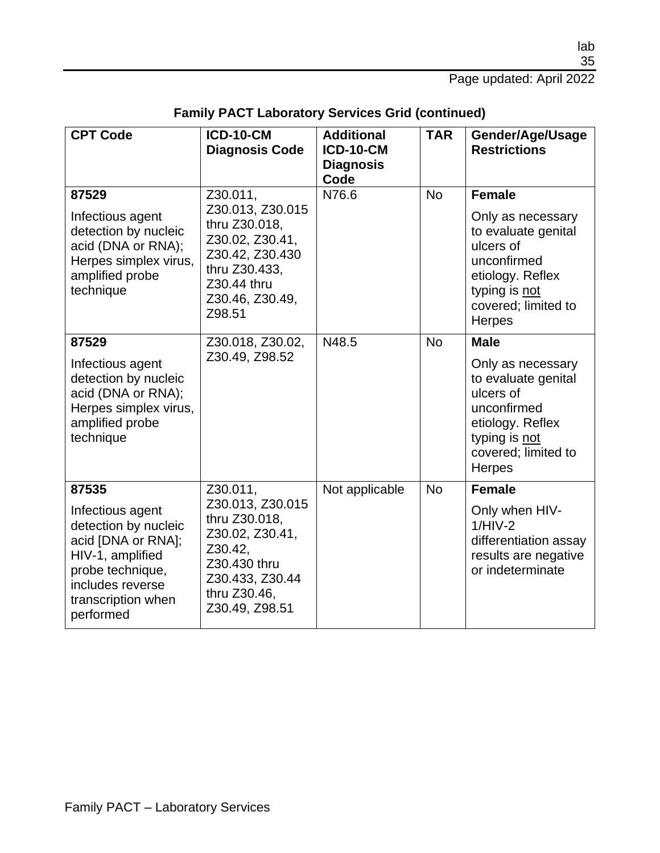| <b>CPT Code</b>                                                                                                                                               | <b>ICD-10-CM</b><br><b>Diagnosis Code</b>                                                                                                        | <b>Additional</b><br><b>ICD-10-CM</b><br><b>Diagnosis</b><br>Code | <b>TAR</b> | Gender/Age/Usage<br><b>Restrictions</b>                                                                                                                            |
|---------------------------------------------------------------------------------------------------------------------------------------------------------------|--------------------------------------------------------------------------------------------------------------------------------------------------|-------------------------------------------------------------------|------------|--------------------------------------------------------------------------------------------------------------------------------------------------------------------|
| 87529<br>Infectious agent<br>detection by nucleic<br>acid (DNA or RNA);<br>Herpes simplex virus,<br>amplified probe<br>technique                              | Z30.011,<br>Z30.013, Z30.015<br>thru Z30.018,<br>Z30.02, Z30.41,<br>Z30.42, Z30.430<br>thru Z30.433,<br>Z30.44 thru<br>Z30.46, Z30.49,<br>Z98.51 | N76.6                                                             | <b>No</b>  | <b>Female</b><br>Only as necessary<br>to evaluate genital<br>ulcers of<br>unconfirmed<br>etiology. Reflex<br>typing is not<br>covered; limited to<br><b>Herpes</b> |
| 87529                                                                                                                                                         | Z30.018, Z30.02,                                                                                                                                 | N48.5                                                             | <b>No</b>  | <b>Male</b>                                                                                                                                                        |
| Infectious agent<br>detection by nucleic<br>acid (DNA or RNA);<br>Herpes simplex virus,<br>amplified probe<br>technique                                       | Z30.49, Z98.52                                                                                                                                   |                                                                   |            | Only as necessary<br>to evaluate genital<br>ulcers of<br>unconfirmed<br>etiology. Reflex<br>typing is not<br>covered; limited to<br><b>Herpes</b>                  |
| 87535                                                                                                                                                         | Z30.011,                                                                                                                                         | Not applicable                                                    | <b>No</b>  | <b>Female</b>                                                                                                                                                      |
| Infectious agent<br>detection by nucleic<br>acid [DNA or RNA];<br>HIV-1, amplified<br>probe technique,<br>includes reverse<br>transcription when<br>performed | Z30.013, Z30.015<br>thru Z30.018,<br>Z30.02, Z30.41,<br>Z30.42,<br>Z30.430 thru<br>Z30.433, Z30.44<br>thru Z30.46,<br>Z30.49, Z98.51             |                                                                   |            | Only when HIV-<br>$1/HIV-2$<br>differentiation assay<br>results are negative<br>or indeterminate                                                                   |

| <b>Family PACT Laboratory Services Grid (continued)</b> |  |  |  |  |
|---------------------------------------------------------|--|--|--|--|
|---------------------------------------------------------|--|--|--|--|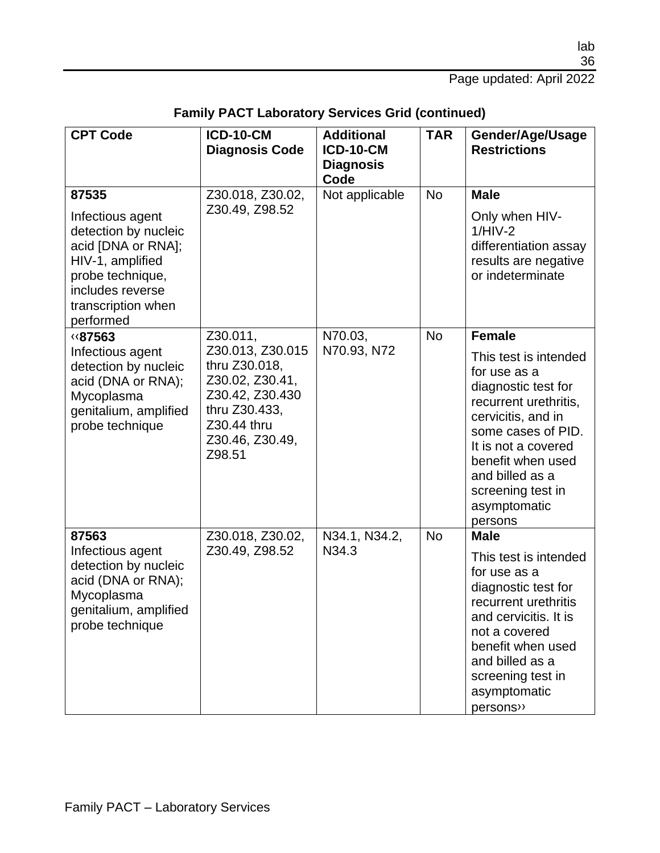| <b>CPT Code</b>                                                                                                                                               | <b>ICD-10-CM</b><br><b>Diagnosis Code</b>                                                                                            | <b>Additional</b><br><b>ICD-10-CM</b><br><b>Diagnosis</b><br>Code | <b>TAR</b> | Gender/Age/Usage<br><b>Restrictions</b>                                                                                                                                                                                                          |
|---------------------------------------------------------------------------------------------------------------------------------------------------------------|--------------------------------------------------------------------------------------------------------------------------------------|-------------------------------------------------------------------|------------|--------------------------------------------------------------------------------------------------------------------------------------------------------------------------------------------------------------------------------------------------|
| 87535                                                                                                                                                         | Z30.018, Z30.02,                                                                                                                     | Not applicable                                                    | <b>No</b>  | <b>Male</b>                                                                                                                                                                                                                                      |
| Infectious agent<br>detection by nucleic<br>acid [DNA or RNA];<br>HIV-1, amplified<br>probe technique,<br>includes reverse<br>transcription when<br>performed | Z30.49, Z98.52                                                                                                                       |                                                                   |            | Only when HIV-<br>$1/HIV-2$<br>differentiation assay<br>results are negative<br>or indeterminate                                                                                                                                                 |
| <b>«87563</b>                                                                                                                                                 | Z30.011,                                                                                                                             | N70.03,                                                           | <b>No</b>  | <b>Female</b>                                                                                                                                                                                                                                    |
| Infectious agent<br>detection by nucleic<br>acid (DNA or RNA);<br>Mycoplasma<br>genitalium, amplified<br>probe technique                                      | Z30.013, Z30.015<br>thru Z30.018,<br>Z30.02, Z30.41,<br>Z30.42, Z30.430<br>thru Z30.433,<br>Z30.44 thru<br>Z30.46, Z30.49,<br>Z98.51 | N70.93, N72                                                       |            | This test is intended<br>for use as a<br>diagnostic test for<br>recurrent urethritis,<br>cervicitis, and in<br>some cases of PID.<br>It is not a covered<br>benefit when used<br>and billed as a<br>screening test in<br>asymptomatic<br>persons |
| 87563                                                                                                                                                         | Z30.018, Z30.02,                                                                                                                     | N34.1, N34.2,                                                     | <b>No</b>  | <b>Male</b>                                                                                                                                                                                                                                      |
| Infectious agent<br>detection by nucleic<br>acid (DNA or RNA);<br>Mycoplasma<br>genitalium, amplified<br>probe technique                                      | Z30.49, Z98.52                                                                                                                       | N34.3                                                             |            | This test is intended<br>for use as a<br>diagnostic test for<br>recurrent urethritis<br>and cervicitis. It is<br>not a covered<br>benefit when used<br>and billed as a<br>screening test in<br>asymptomatic<br>persons>>                         |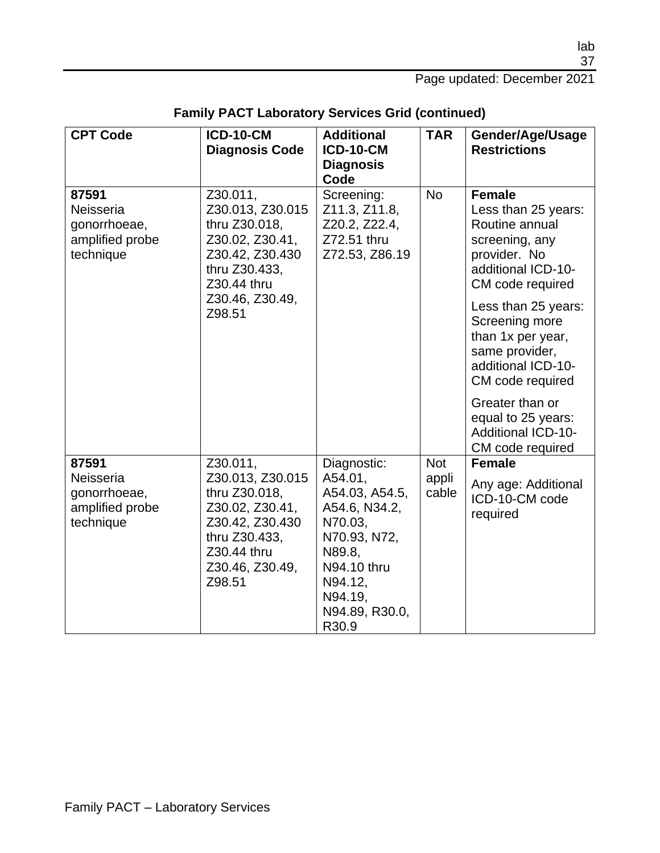Page updated: December 2021

| <b>CPT Code</b>                                                           | <b>ICD-10-CM</b><br><b>Diagnosis Code</b>                                                                                                        | <b>Additional</b><br><b>ICD-10-CM</b><br><b>Diagnosis</b><br>Code                                                                                              | <b>TAR</b>                   | Gender/Age/Usage<br><b>Restrictions</b>                                                                                                                                                                                                                                                                                                                |
|---------------------------------------------------------------------------|--------------------------------------------------------------------------------------------------------------------------------------------------|----------------------------------------------------------------------------------------------------------------------------------------------------------------|------------------------------|--------------------------------------------------------------------------------------------------------------------------------------------------------------------------------------------------------------------------------------------------------------------------------------------------------------------------------------------------------|
| 87591<br><b>Neisseria</b><br>gonorrhoeae,<br>amplified probe<br>technique | Z30.011,<br>Z30.013, Z30.015<br>thru Z30.018,<br>Z30.02, Z30.41,<br>Z30.42, Z30.430<br>thru Z30.433,<br>Z30.44 thru<br>Z30.46, Z30.49,<br>Z98.51 | Screening:<br>Z11.3, Z11.8,<br>Z20.2, Z22.4,<br>Z72.51 thru<br>Z72.53, Z86.19                                                                                  | <b>No</b>                    | <b>Female</b><br>Less than 25 years:<br>Routine annual<br>screening, any<br>provider. No<br>additional ICD-10-<br>CM code required<br>Less than 25 years:<br>Screening more<br>than 1x per year,<br>same provider,<br>additional ICD-10-<br>CM code required<br>Greater than or<br>equal to 25 years:<br><b>Additional ICD-10-</b><br>CM code required |
| 87591<br>Neisseria<br>gonorrhoeae,<br>amplified probe<br>technique        | Z30.011,<br>Z30.013, Z30.015<br>thru Z30.018,<br>Z30.02, Z30.41,<br>Z30.42, Z30.430<br>thru Z30.433,<br>Z30.44 thru<br>Z30.46, Z30.49,<br>Z98.51 | Diagnostic:<br>A54.01,<br>A54.03, A54.5,<br>A54.6, N34.2,<br>N70.03,<br>N70.93, N72,<br>N89.8,<br>N94.10 thru<br>N94.12,<br>N94.19,<br>N94.89, R30.0,<br>R30.9 | <b>Not</b><br>appli<br>cable | <b>Female</b><br>Any age: Additional<br>ICD-10-CM code<br>required                                                                                                                                                                                                                                                                                     |

| <b>Family PACT Laboratory Services Grid (continued)</b> |  |  |  |  |
|---------------------------------------------------------|--|--|--|--|
|---------------------------------------------------------|--|--|--|--|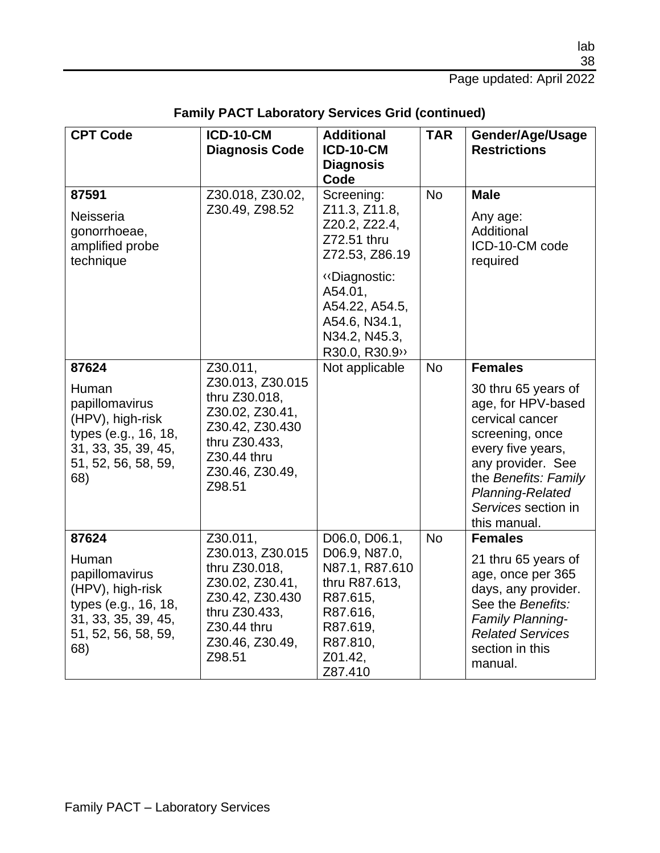| <b>CPT Code</b>                                                                                                                   | <b>ICD-10-CM</b><br><b>Diagnosis Code</b>                                                                                                        | <b>Additional</b><br><b>ICD-10-CM</b><br><b>Diagnosis</b><br>Code                                                                                                              | <b>TAR</b> | Gender/Age/Usage<br><b>Restrictions</b>                                                                                                                                                                                        |
|-----------------------------------------------------------------------------------------------------------------------------------|--------------------------------------------------------------------------------------------------------------------------------------------------|--------------------------------------------------------------------------------------------------------------------------------------------------------------------------------|------------|--------------------------------------------------------------------------------------------------------------------------------------------------------------------------------------------------------------------------------|
| 87591<br>Neisseria<br>gonorrhoeae,<br>amplified probe<br>technique                                                                | Z30.018, Z30.02,<br>Z30.49, Z98.52                                                                                                               | Screening:<br>Z11.3, Z11.8,<br>Z20.2, Z22.4,<br>Z72.51 thru<br>Z72.53, Z86.19<br>«Diagnostic:<br>A54.01.<br>A54.22, A54.5,<br>A54.6, N34.1,<br>N34.2, N45.3,<br>R30.0, R30.9>> | <b>No</b>  | <b>Male</b><br>Any age:<br>Additional<br>ICD-10-CM code<br>required                                                                                                                                                            |
| 87624<br>Human<br>papillomavirus<br>(HPV), high-risk<br>types (e.g., 16, 18,<br>31, 33, 35, 39, 45,<br>51, 52, 56, 58, 59,<br>68) | Z30.011,<br>Z30.013, Z30.015<br>thru Z30.018,<br>Z30.02, Z30.41,<br>Z30.42, Z30.430<br>thru Z30.433,<br>Z30.44 thru<br>Z30.46, Z30.49,<br>Z98.51 | Not applicable                                                                                                                                                                 | <b>No</b>  | <b>Females</b><br>30 thru 65 years of<br>age, for HPV-based<br>cervical cancer<br>screening, once<br>every five years,<br>any provider. See<br>the Benefits: Family<br>Planning-Related<br>Services section in<br>this manual. |
| 87624<br>Human<br>papillomavirus<br>(HPV), high-risk<br>types (e.g., 16, 18,<br>31, 33, 35, 39, 45,<br>51, 52, 56, 58, 59,<br>68) | Z30.011,<br>Z30.013, Z30.015<br>thru Z30.018,<br>Z30.02, Z30.41,<br>Z30.42, Z30.430<br>thru Z30.433,<br>Z30.44 thru<br>Z30.46, Z30.49,<br>Z98.51 | D06.0, D06.1,<br>D06.9, N87.0,<br>N87.1, R87.610<br>thru R87.613,<br>R87.615,<br>R87.616,<br>R87.619,<br>R87.810,<br>Z01.42,<br>Z87.410                                        | <b>No</b>  | <b>Females</b><br>21 thru 65 years of<br>age, once per 365<br>days, any provider.<br>See the Benefits:<br><b>Family Planning-</b><br><b>Related Services</b><br>section in this<br>manual.                                     |

| <b>Family PACT Laboratory Services Grid (continued)</b> |  |  |  |  |  |
|---------------------------------------------------------|--|--|--|--|--|
|---------------------------------------------------------|--|--|--|--|--|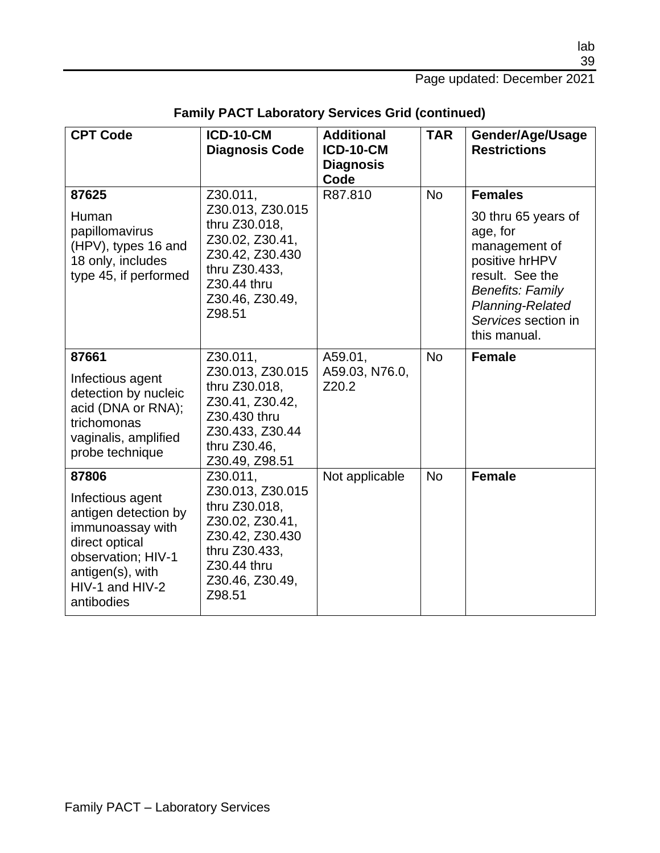| <b>CPT Code</b>                                                                                                                                                    | <b>ICD-10-CM</b><br><b>Diagnosis Code</b>                                                                                                        | <b>Additional</b><br><b>ICD-10-CM</b><br><b>Diagnosis</b><br>Code | <b>TAR</b> | Gender/Age/Usage<br><b>Restrictions</b>                                                                                                                                                       |
|--------------------------------------------------------------------------------------------------------------------------------------------------------------------|--------------------------------------------------------------------------------------------------------------------------------------------------|-------------------------------------------------------------------|------------|-----------------------------------------------------------------------------------------------------------------------------------------------------------------------------------------------|
| 87625<br>Human<br>papillomavirus<br>(HPV), types 16 and<br>18 only, includes<br>type 45, if performed                                                              | Z30.011,<br>Z30.013, Z30.015<br>thru Z30.018,<br>Z30.02, Z30.41,<br>Z30.42, Z30.430<br>thru Z30.433,<br>Z30.44 thru<br>Z30.46, Z30.49,<br>Z98.51 | R87.810                                                           | <b>No</b>  | <b>Females</b><br>30 thru 65 years of<br>age, for<br>management of<br>positive hrHPV<br>result. See the<br><b>Benefits: Family</b><br>Planning-Related<br>Services section in<br>this manual. |
| 87661<br>Infectious agent<br>detection by nucleic<br>acid (DNA or RNA);<br>trichomonas<br>vaginalis, amplified<br>probe technique                                  | Z30.011,<br>Z30.013, Z30.015<br>thru Z30.018,<br>Z30.41, Z30.42,<br>Z30.430 thru<br>Z30.433, Z30.44<br>thru Z30.46,<br>Z30.49, Z98.51            | A59.01,<br>A59.03, N76.0,<br>Z20.2                                | <b>No</b>  | <b>Female</b>                                                                                                                                                                                 |
| 87806<br>Infectious agent<br>antigen detection by<br>immunoassay with<br>direct optical<br>observation; HIV-1<br>antigen(s), with<br>HIV-1 and HIV-2<br>antibodies | Z30.011,<br>Z30.013, Z30.015<br>thru Z30.018,<br>Z30.02, Z30.41,<br>Z30.42, Z30.430<br>thru Z30.433,<br>Z30.44 thru<br>Z30.46, Z30.49,<br>Z98.51 | Not applicable                                                    | <b>No</b>  | <b>Female</b>                                                                                                                                                                                 |

| <b>Family PACT Laboratory Services Grid (continued)</b> |  |  |  |
|---------------------------------------------------------|--|--|--|
|---------------------------------------------------------|--|--|--|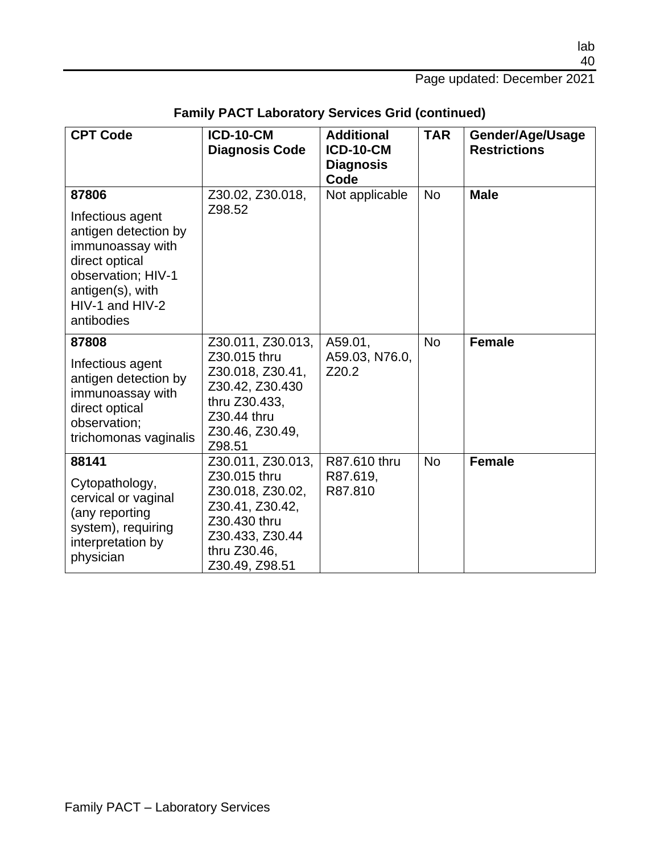| <b>CPT Code</b>                                                                                                                                                    | <b>ICD-10-CM</b><br><b>Diagnosis Code</b>                                                                                                     | <b>Additional</b><br><b>ICD-10-CM</b><br><b>Diagnosis</b><br>Code | <b>TAR</b> | Gender/Age/Usage<br><b>Restrictions</b> |
|--------------------------------------------------------------------------------------------------------------------------------------------------------------------|-----------------------------------------------------------------------------------------------------------------------------------------------|-------------------------------------------------------------------|------------|-----------------------------------------|
| 87806<br>Infectious agent<br>antigen detection by<br>immunoassay with<br>direct optical<br>observation; HIV-1<br>antigen(s), with<br>HIV-1 and HIV-2<br>antibodies | Z30.02, Z30.018,<br>Z98.52                                                                                                                    | Not applicable                                                    | <b>No</b>  | <b>Male</b>                             |
| 87808<br>Infectious agent<br>antigen detection by<br>immunoassay with<br>direct optical<br>observation;<br>trichomonas vaginalis                                   | Z30.011, Z30.013,<br>Z30.015 thru<br>Z30.018, Z30.41,<br>Z30.42, Z30.430<br>thru Z30.433,<br>Z30.44 thru<br>Z30.46, Z30.49,<br>Z98.51         | A59.01,<br>A59.03, N76.0,<br>Z20.2                                | <b>No</b>  | <b>Female</b>                           |
| 88141<br>Cytopathology,<br>cervical or vaginal<br>(any reporting<br>system), requiring<br>interpretation by<br>physician                                           | Z30.011, Z30.013,<br>Z30.015 thru<br>Z30.018, Z30.02,<br>Z30.41, Z30.42,<br>Z30.430 thru<br>Z30.433, Z30.44<br>thru Z30.46,<br>Z30.49, Z98.51 | R87.610 thru<br>R87.619,<br>R87.810                               | <b>No</b>  | <b>Female</b>                           |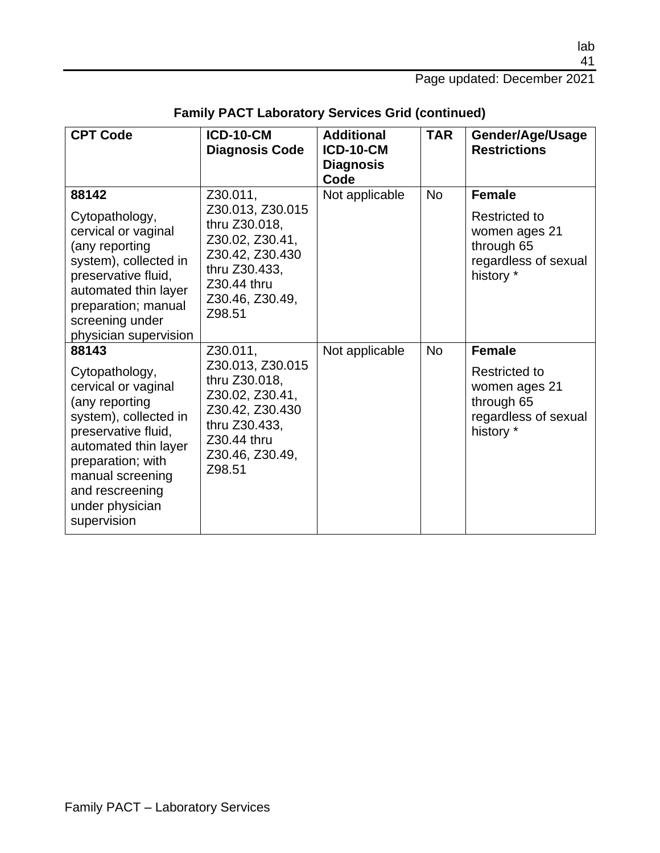| <b>CPT Code</b>                                                                                                                                                                                                                        | <b>ICD-10-CM</b><br><b>Diagnosis Code</b>                                                                                                        | <b>Additional</b><br><b>ICD-10-CM</b><br><b>Diagnosis</b><br>Code | <b>TAR</b> | Gender/Age/Usage<br><b>Restrictions</b>                                                                   |
|----------------------------------------------------------------------------------------------------------------------------------------------------------------------------------------------------------------------------------------|--------------------------------------------------------------------------------------------------------------------------------------------------|-------------------------------------------------------------------|------------|-----------------------------------------------------------------------------------------------------------|
| 88142<br>Cytopathology,<br>cervical or vaginal<br>(any reporting<br>system), collected in<br>preservative fluid,<br>automated thin layer<br>preparation; manual<br>screening under<br>physician supervision                            | Z30.011,<br>Z30.013, Z30.015<br>thru Z30.018,<br>Z30.02, Z30.41,<br>Z30.42, Z30.430<br>thru Z30.433,<br>Z30.44 thru<br>Z30.46, Z30.49,<br>Z98.51 | Not applicable                                                    | <b>No</b>  | <b>Female</b><br><b>Restricted to</b><br>women ages 21<br>through 65<br>regardless of sexual<br>history * |
| 88143<br>Cytopathology,<br>cervical or vaginal<br>(any reporting<br>system), collected in<br>preservative fluid,<br>automated thin layer<br>preparation; with<br>manual screening<br>and rescreening<br>under physician<br>supervision | Z30.011,<br>Z30.013, Z30.015<br>thru Z30.018,<br>Z30.02, Z30.41,<br>Z30.42, Z30.430<br>thru Z30.433,<br>Z30.44 thru<br>Z30.46, Z30.49,<br>Z98.51 | Not applicable                                                    | <b>No</b>  | <b>Female</b><br><b>Restricted to</b><br>women ages 21<br>through 65<br>regardless of sexual<br>history * |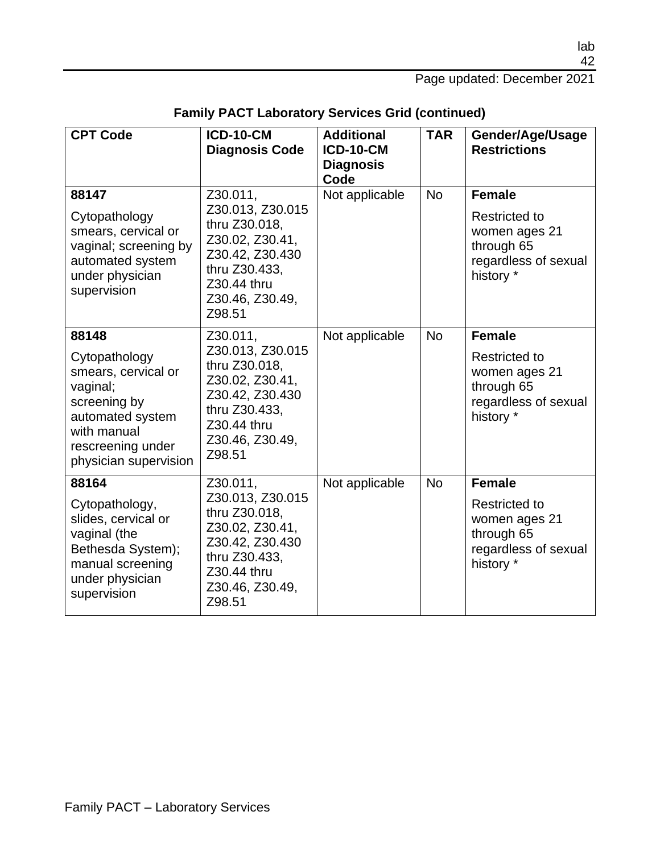| <b>CPT Code</b>                                                                                                                                            | <b>ICD-10-CM</b><br><b>Diagnosis Code</b>                                                                                                        | <b>Additional</b><br><b>ICD-10-CM</b><br><b>Diagnosis</b><br>Code | <b>TAR</b> | Gender/Age/Usage<br><b>Restrictions</b>                                                                   |
|------------------------------------------------------------------------------------------------------------------------------------------------------------|--------------------------------------------------------------------------------------------------------------------------------------------------|-------------------------------------------------------------------|------------|-----------------------------------------------------------------------------------------------------------|
| 88147<br>Cytopathology<br>smears, cervical or<br>vaginal; screening by<br>automated system<br>under physician<br>supervision                               | Z30.011,<br>Z30.013, Z30.015<br>thru Z30.018,<br>Z30.02, Z30.41,<br>Z30.42, Z30.430<br>thru Z30.433,<br>Z30.44 thru<br>Z30.46, Z30.49,<br>Z98.51 | Not applicable                                                    | <b>No</b>  | <b>Female</b><br><b>Restricted to</b><br>women ages 21<br>through 65<br>regardless of sexual<br>history * |
| 88148<br>Cytopathology<br>smears, cervical or<br>vaginal;<br>screening by<br>automated system<br>with manual<br>rescreening under<br>physician supervision | Z30.011,<br>Z30.013, Z30.015<br>thru Z30.018,<br>Z30.02, Z30.41,<br>Z30.42, Z30.430<br>thru Z30.433,<br>Z30.44 thru<br>Z30.46, Z30.49,<br>Z98.51 | Not applicable                                                    | <b>No</b>  | <b>Female</b><br><b>Restricted to</b><br>women ages 21<br>through 65<br>regardless of sexual<br>history * |
| 88164<br>Cytopathology,<br>slides, cervical or<br>vaginal (the<br>Bethesda System);<br>manual screening<br>under physician<br>supervision                  | Z30.011,<br>Z30.013, Z30.015<br>thru Z30.018,<br>Z30.02, Z30.41,<br>Z30.42, Z30.430<br>thru Z30.433,<br>Z30.44 thru<br>Z30.46, Z30.49,<br>Z98.51 | Not applicable                                                    | <b>No</b>  | <b>Female</b><br><b>Restricted to</b><br>women ages 21<br>through 65<br>regardless of sexual<br>history * |

|  | <b>Family PACT Laboratory Services Grid (continued)</b> |  |
|--|---------------------------------------------------------|--|
|--|---------------------------------------------------------|--|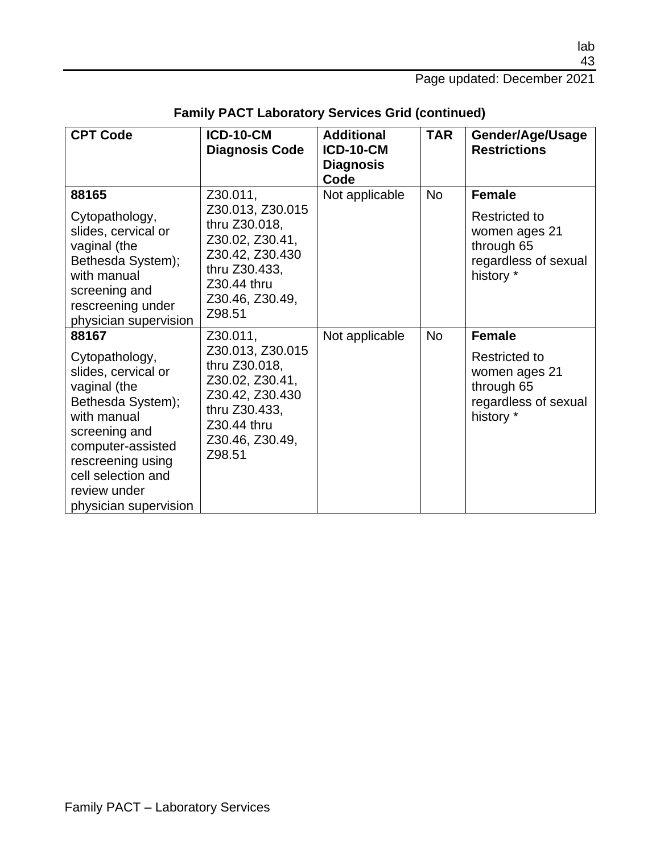lab

| <b>CPT Code</b>                                                                                                                                                                                                              | <b>ICD-10-CM</b><br><b>Diagnosis Code</b>                                                                                                        | <b>Additional</b><br><b>ICD-10-CM</b><br><b>Diagnosis</b><br>Code | <b>TAR</b> | Gender/Age/Usage<br><b>Restrictions</b>                                                                   |
|------------------------------------------------------------------------------------------------------------------------------------------------------------------------------------------------------------------------------|--------------------------------------------------------------------------------------------------------------------------------------------------|-------------------------------------------------------------------|------------|-----------------------------------------------------------------------------------------------------------|
| 88165<br>Cytopathology,<br>slides, cervical or<br>vaginal (the<br>Bethesda System);<br>with manual<br>screening and<br>rescreening under<br>physician supervision                                                            | Z30.011,<br>Z30.013, Z30.015<br>thru Z30.018,<br>Z30.02, Z30.41,<br>Z30.42, Z30.430<br>thru Z30.433,<br>Z30.44 thru<br>Z30.46, Z30.49,<br>Z98.51 | Not applicable                                                    | <b>No</b>  | <b>Female</b><br><b>Restricted to</b><br>women ages 21<br>through 65<br>regardless of sexual<br>history * |
| 88167<br>Cytopathology,<br>slides, cervical or<br>vaginal (the<br>Bethesda System);<br>with manual<br>screening and<br>computer-assisted<br>rescreening using<br>cell selection and<br>review under<br>physician supervision | Z30.011,<br>Z30.013, Z30.015<br>thru Z30.018,<br>Z30.02, Z30.41,<br>Z30.42, Z30.430<br>thru Z30.433,<br>Z30.44 thru<br>Z30.46, Z30.49,<br>Z98.51 | Not applicable                                                    | No         | <b>Female</b><br><b>Restricted to</b><br>women ages 21<br>through 65<br>regardless of sexual<br>history * |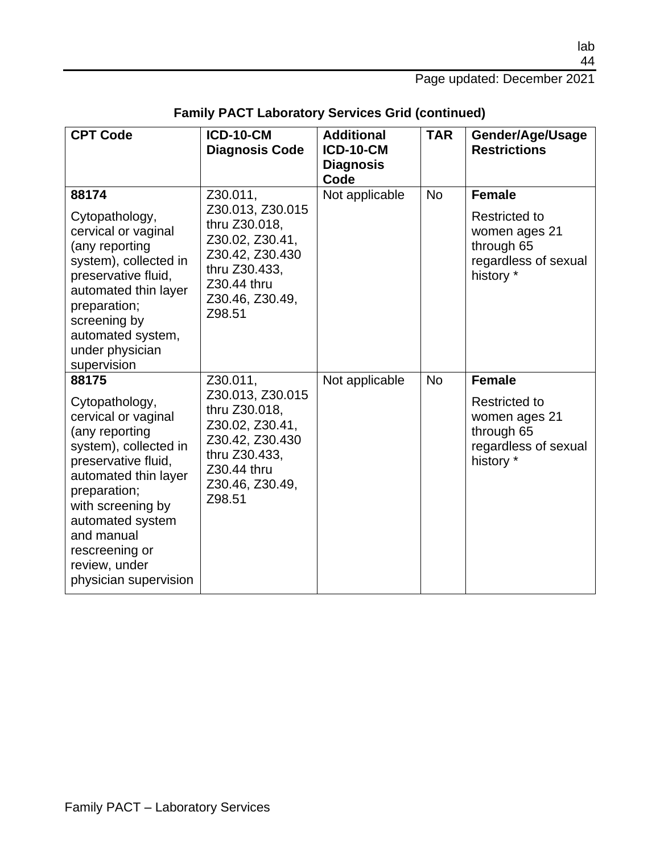44

lab

Page updated: December 2021

| <b>CPT Code</b>                                                                                                                                                                                                                                                             | <b>ICD-10-CM</b><br><b>Diagnosis Code</b>                                                                                                        | <b>Additional</b><br><b>ICD-10-CM</b><br><b>Diagnosis</b><br>Code | <b>TAR</b> | Gender/Age/Usage<br><b>Restrictions</b>                                                                   |
|-----------------------------------------------------------------------------------------------------------------------------------------------------------------------------------------------------------------------------------------------------------------------------|--------------------------------------------------------------------------------------------------------------------------------------------------|-------------------------------------------------------------------|------------|-----------------------------------------------------------------------------------------------------------|
| 88174<br>Cytopathology,<br>cervical or vaginal<br>(any reporting<br>system), collected in<br>preservative fluid,<br>automated thin layer<br>preparation;<br>screening by<br>automated system,<br>under physician<br>supervision                                             | Z30.011,<br>Z30.013, Z30.015<br>thru Z30.018,<br>Z30.02, Z30.41,<br>Z30.42, Z30.430<br>thru Z30.433,<br>Z30.44 thru<br>Z30.46, Z30.49,<br>Z98.51 | Not applicable                                                    | <b>No</b>  | <b>Female</b><br><b>Restricted to</b><br>women ages 21<br>through 65<br>regardless of sexual<br>history * |
| 88175<br>Cytopathology,<br>cervical or vaginal<br>(any reporting<br>system), collected in<br>preservative fluid,<br>automated thin layer<br>preparation;<br>with screening by<br>automated system<br>and manual<br>rescreening or<br>review, under<br>physician supervision | Z30.011,<br>Z30.013, Z30.015<br>thru Z30.018,<br>Z30.02, Z30.41,<br>Z30.42, Z30.430<br>thru Z30.433,<br>Z30.44 thru<br>Z30.46, Z30.49,<br>Z98.51 | Not applicable                                                    | <b>No</b>  | <b>Female</b><br><b>Restricted to</b><br>women ages 21<br>through 65<br>regardless of sexual<br>history * |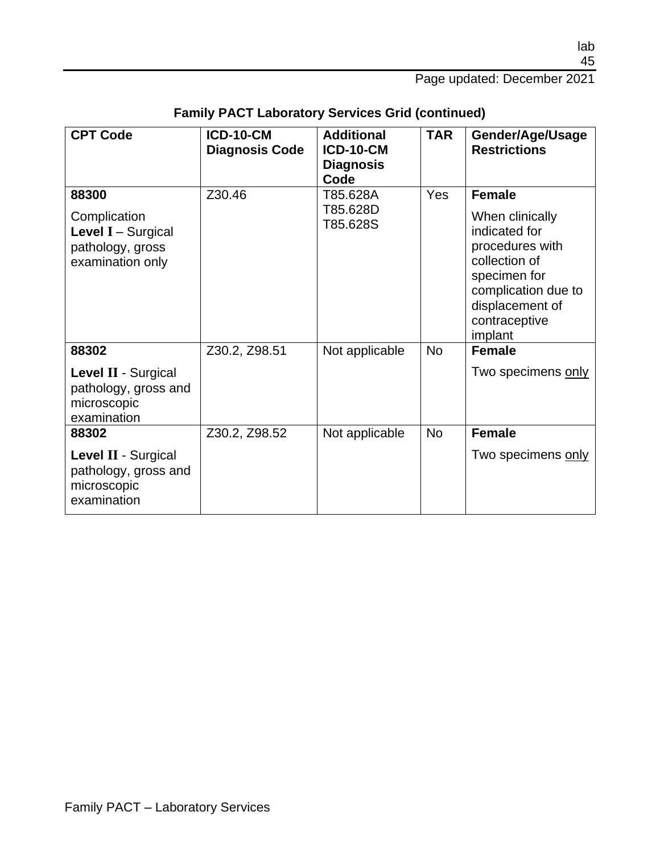| <b>CPT Code</b>                                                                              | <b>ICD-10-CM</b><br><b>Diagnosis Code</b> | <b>Additional</b><br><b>ICD-10-CM</b><br><b>Diagnosis</b><br>Code | <b>TAR</b> | Gender/Age/Usage<br><b>Restrictions</b>                                                                                                                                     |
|----------------------------------------------------------------------------------------------|-------------------------------------------|-------------------------------------------------------------------|------------|-----------------------------------------------------------------------------------------------------------------------------------------------------------------------------|
| 88300<br>Complication<br><b>Level I</b> $-$ Surgical<br>pathology, gross<br>examination only | Z30.46                                    | T85.628A<br>T85.628D<br>T85.628S                                  | <b>Yes</b> | <b>Female</b><br>When clinically<br>indicated for<br>procedures with<br>collection of<br>specimen for<br>complication due to<br>displacement of<br>contraceptive<br>implant |
| 88302<br>Level II - Surgical<br>pathology, gross and<br>microscopic<br>examination           | Z30.2, Z98.51                             | Not applicable                                                    | <b>No</b>  | <b>Female</b><br>Two specimens only                                                                                                                                         |
| 88302<br>Level II - Surgical<br>pathology, gross and<br>microscopic<br>examination           | Z30.2, Z98.52                             | Not applicable                                                    | <b>No</b>  | <b>Female</b><br>Two specimens only                                                                                                                                         |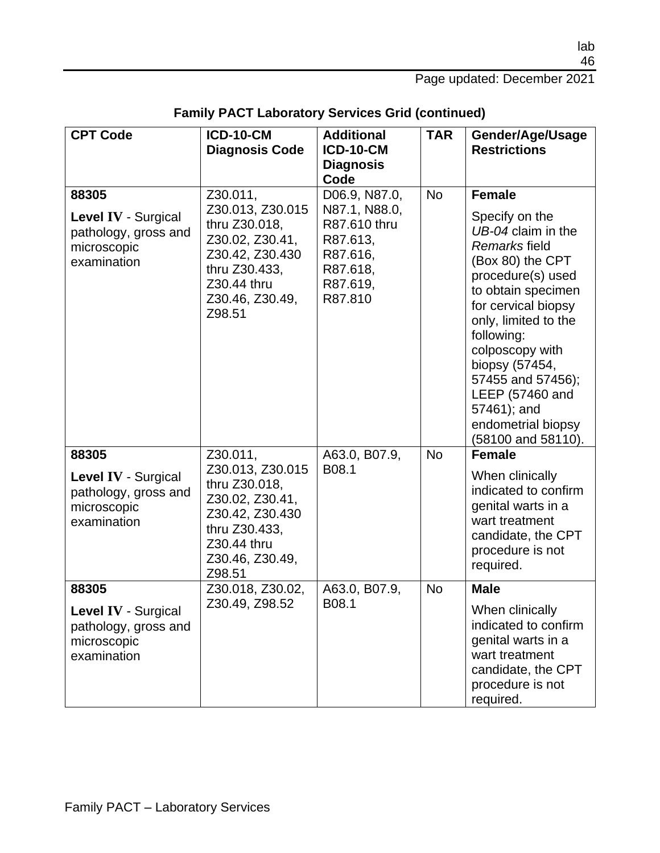Page updated: December 2021

| <b>CPT Code</b>                                                           | <b>ICD-10-CM</b><br><b>Diagnosis Code</b>                                                                        | <b>Additional</b><br><b>ICD-10-CM</b><br><b>Diagnosis</b><br>Code       | <b>TAR</b> | Gender/Age/Usage<br><b>Restrictions</b>                                                                                                                                                                                                                                                                                   |
|---------------------------------------------------------------------------|------------------------------------------------------------------------------------------------------------------|-------------------------------------------------------------------------|------------|---------------------------------------------------------------------------------------------------------------------------------------------------------------------------------------------------------------------------------------------------------------------------------------------------------------------------|
| 88305                                                                     | Z30.011,<br>Z30.013, Z30.015                                                                                     | D06.9, N87.0,<br>N87.1, N88.0,                                          | <b>No</b>  | <b>Female</b>                                                                                                                                                                                                                                                                                                             |
| Level IV - Surgical<br>pathology, gross and<br>microscopic<br>examination | thru Z30.018,<br>Z30.02, Z30.41,<br>Z30.42, Z30.430<br>thru Z30.433,<br>Z30.44 thru<br>Z30.46, Z30.49,<br>Z98.51 | R87.610 thru<br>R87.613,<br>R87.616,<br>R87.618,<br>R87.619,<br>R87.810 |            | Specify on the<br>UB-04 claim in the<br>Remarks field<br>(Box 80) the CPT<br>procedure(s) used<br>to obtain specimen<br>for cervical biopsy<br>only, limited to the<br>following:<br>colposcopy with<br>biopsy (57454,<br>57455 and 57456);<br>LEEP (57460 and<br>57461); and<br>endometrial biopsy<br>(58100 and 58110). |
| 88305                                                                     | Z30.011,<br>Z30.013, Z30.015                                                                                     | A63.0, B07.9,<br>B08.1                                                  | <b>No</b>  | <b>Female</b>                                                                                                                                                                                                                                                                                                             |
| Level IV - Surgical<br>pathology, gross and<br>microscopic<br>examination | thru Z30.018,<br>Z30.02, Z30.41,<br>Z30.42, Z30.430<br>thru Z30.433,<br>Z30.44 thru<br>Z30.46, Z30.49,<br>Z98.51 |                                                                         |            | When clinically<br>indicated to confirm<br>genital warts in a<br>wart treatment<br>candidate, the CPT<br>procedure is not<br>required.                                                                                                                                                                                    |
| 88305                                                                     | Z30.018, Z30.02,                                                                                                 | A63.0, B07.9,                                                           | <b>No</b>  | <b>Male</b>                                                                                                                                                                                                                                                                                                               |
| Level IV - Surgical<br>pathology, gross and<br>microscopic<br>examination | Z30.49, Z98.52                                                                                                   | B08.1                                                                   |            | When clinically<br>indicated to confirm<br>genital warts in a<br>wart treatment<br>candidate, the CPT<br>procedure is not<br>required.                                                                                                                                                                                    |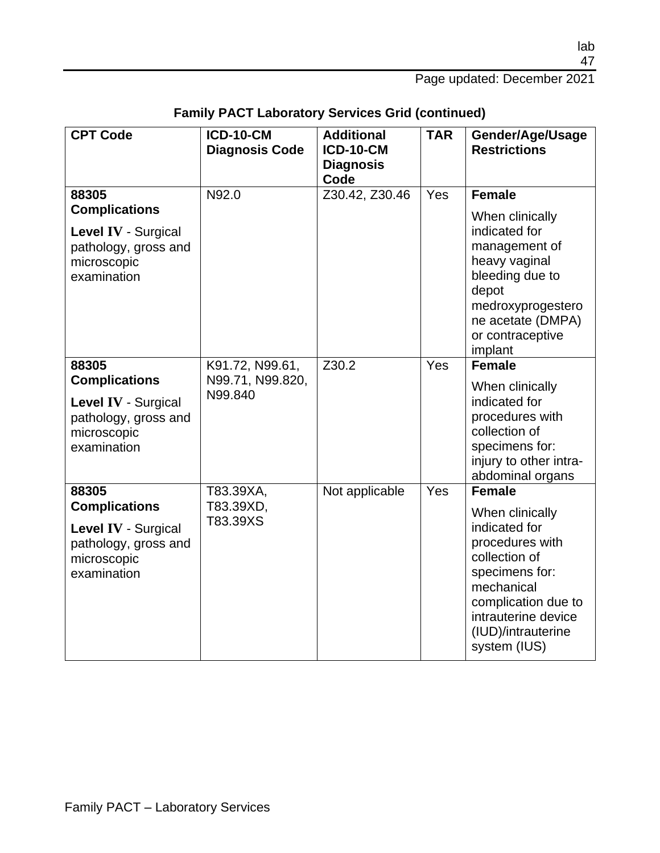| <b>CPT Code</b>                                                                                          | <b>ICD-10-CM</b><br><b>Diagnosis Code</b> | <b>Additional</b><br><b>ICD-10-CM</b><br><b>Diagnosis</b><br>Code | <b>TAR</b> | Gender/Age/Usage<br><b>Restrictions</b>                                                                                                                                                  |
|----------------------------------------------------------------------------------------------------------|-------------------------------------------|-------------------------------------------------------------------|------------|------------------------------------------------------------------------------------------------------------------------------------------------------------------------------------------|
| 88305                                                                                                    | N92.0                                     | Z30.42, Z30.46                                                    | Yes        | <b>Female</b>                                                                                                                                                                            |
| <b>Complications</b><br>Level IV - Surgical<br>pathology, gross and<br>microscopic<br>examination        |                                           |                                                                   |            | When clinically<br>indicated for<br>management of<br>heavy vaginal<br>bleeding due to<br>depot<br>medroxyprogestero<br>ne acetate (DMPA)<br>or contraceptive<br>implant                  |
| 88305                                                                                                    | K91.72, N99.61,                           | Z30.2                                                             | Yes        | <b>Female</b>                                                                                                                                                                            |
| <b>Complications</b><br>Level IV - Surgical<br>pathology, gross and<br>microscopic<br>examination        | N99.71, N99.820,<br>N99.840               |                                                                   |            | When clinically<br>indicated for<br>procedures with<br>collection of<br>specimens for:<br>injury to other intra-<br>abdominal organs                                                     |
| 88305                                                                                                    | T83.39XA,                                 | Not applicable                                                    | Yes        | <b>Female</b>                                                                                                                                                                            |
| <b>Complications</b><br><b>Level IV - Surgical</b><br>pathology, gross and<br>microscopic<br>examination | T83.39XD,<br>T83.39XS                     |                                                                   |            | When clinically<br>indicated for<br>procedures with<br>collection of<br>specimens for:<br>mechanical<br>complication due to<br>intrauterine device<br>(IUD)/intrauterine<br>system (IUS) |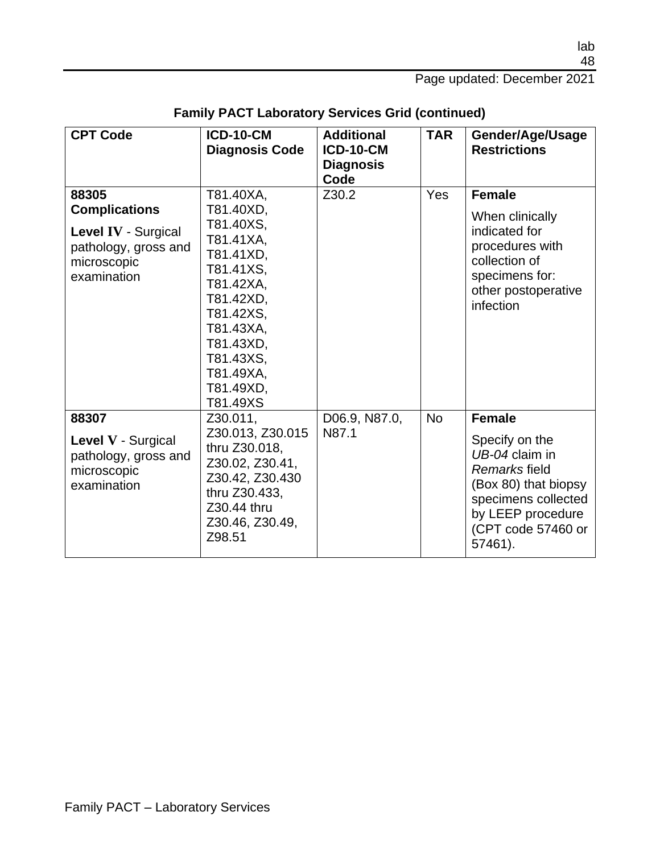Page updated: December 2021

| <b>CPT Code</b>                                                                                            | <b>ICD-10-CM</b><br><b>Diagnosis Code</b>                                                                                                                                                      | <b>Additional</b><br><b>ICD-10-CM</b><br><b>Diagnosis</b><br>Code | <b>TAR</b> | Gender/Age/Usage<br><b>Restrictions</b>                                                                                                                                 |
|------------------------------------------------------------------------------------------------------------|------------------------------------------------------------------------------------------------------------------------------------------------------------------------------------------------|-------------------------------------------------------------------|------------|-------------------------------------------------------------------------------------------------------------------------------------------------------------------------|
| 88305<br><b>Complications</b><br>Level IV - Surgical<br>pathology, gross and<br>microscopic<br>examination | T81.40XA,<br>T81.40XD,<br>T81.40XS,<br>T81.41XA,<br>T81.41XD,<br>T81.41XS,<br>T81.42XA,<br>T81.42XD,<br>T81.42XS,<br>T81.43XA,<br>T81.43XD,<br>T81.43XS,<br>T81.49XA,<br>T81.49XD,<br>T81.49XS | Z30.2                                                             | <b>Yes</b> | <b>Female</b><br>When clinically<br>indicated for<br>procedures with<br>collection of<br>specimens for:<br>other postoperative<br>infection                             |
| 88307<br>Level V - Surgical<br>pathology, gross and<br>microscopic<br>examination                          | Z30.011,<br>Z30.013, Z30.015<br>thru Z30.018,<br>Z30.02, Z30.41,<br>Z30.42, Z30.430<br>thru Z30.433,<br>Z30.44 thru<br>Z30.46, Z30.49,<br>Z98.51                                               | D06.9, N87.0,<br>N87.1                                            | <b>No</b>  | <b>Female</b><br>Specify on the<br>UB-04 claim in<br>Remarks field<br>(Box 80) that biopsy<br>specimens collected<br>by LEEP procedure<br>(CPT code 57460 or<br>57461). |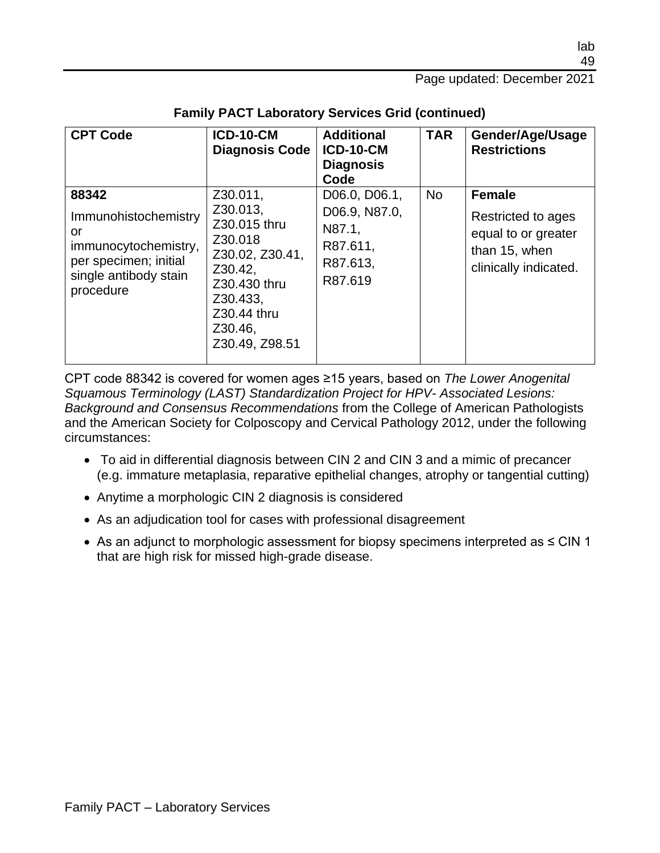| <b>CPT Code</b>                                                                                                            | <b>ICD-10-CM</b><br><b>Diagnosis Code</b>                                                                                                             | <b>Additional</b><br><b>ICD-10-CM</b><br><b>Diagnosis</b><br>Code           | <b>TAR</b> | Gender/Age/Usage<br><b>Restrictions</b>                                                              |
|----------------------------------------------------------------------------------------------------------------------------|-------------------------------------------------------------------------------------------------------------------------------------------------------|-----------------------------------------------------------------------------|------------|------------------------------------------------------------------------------------------------------|
| 88342<br>Immunohistochemistry<br>or<br>immunocytochemistry,<br>per specimen; initial<br>single antibody stain<br>procedure | Z30.011,<br>Z30.013,<br>Z30.015 thru<br>Z30.018<br>Z30.02, Z30.41,<br>Z30.42,<br>Z30.430 thru<br>Z30.433,<br>Z30.44 thru<br>Z30.46,<br>Z30.49, Z98.51 | D06.0, D06.1,<br>D06.9, N87.0,<br>N87.1,<br>R87.611,<br>R87.613,<br>R87.619 | <b>No</b>  | <b>Female</b><br>Restricted to ages<br>equal to or greater<br>than 15, when<br>clinically indicated. |

#### **Family PACT Laboratory Services Grid (continued)**

CPT code 88342 is covered for women ages ≥15 years, based on *The Lower Anogenital Squamous Terminology (LAST) Standardization Project for HPV- Associated Lesions: Background and Consensus Recommendations* from the College of American Pathologists and the American Society for Colposcopy and Cervical Pathology 2012, under the following circumstances:

- To aid in differential diagnosis between CIN 2 and CIN 3 and a mimic of precancer (e.g. immature metaplasia, reparative epithelial changes, atrophy or tangential cutting)
- Anytime a morphologic CIN 2 diagnosis is considered
- As an adjudication tool for cases with professional disagreement
- As an adjunct to morphologic assessment for biopsy specimens interpreted as ≤ CIN 1 that are high risk for missed high-grade disease.